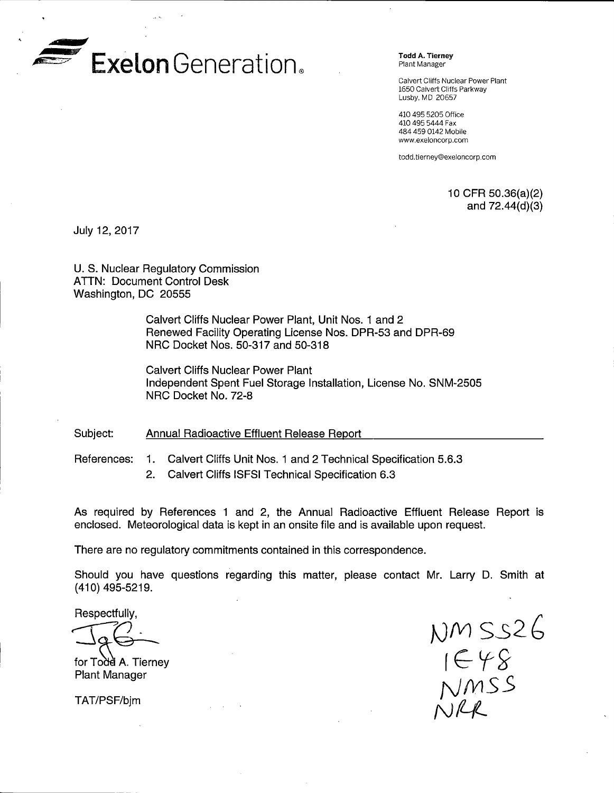

Todd A. Tierney Plant Manager

Calvert Cliffs Nuclear Power Plant 1650 Calvert Cliffs Parkway Lusby, MD 20657

410 495 5205 Office 410 495 5444 Fax 484 459 0142 Mobile www.exeloncorp.com

todd.tierney@exeloncorp.com

1 O CFR 50.36(a)(2) and 72.44(d)(3)

July 12, 2017

U.S. Nuclear Regulatory Commission ATTN: Document Control Desk Washington, DC 20555

> Calvert Cliffs Nuclear Power Plant, Unit Nos. 1 and 2 Renewed Facility Operating License Nos. DPR-53 and DPR-69 NRC Docket Nos. 50-317 and 50-318

Calvert Cliffs Nuclear Power Plant Independent Spent Fuel Storage Installation, License No. SNM-2505 NRC Docket No. 72-8

Subject: Annual Radioactive Effluent Release Report

References: 1. Calvert Cliffs Unit Nos. 1 and 2 Technical Specification 5.6.3

2. Calvert Cliffs ISFSI Technical Specification 6.3

As required by References 1 and 2, the Annual Radioactive Effluent Release Report is enclosed. Meteorological data is kept in an onsite file and is available upon request.

There are no regulatory commitments contained in this correspondence.

Should you have questions regarding this matter, please contact Mr. Larry D. Smith at (410) 495-5219.

Respectfully,

 $\overbrace{\phantom{a}}^{\text{Hespecttully,}}$ 

for Todd A. Tierney Plant Manager

TAT/PSF/bjm

]J{V) S32b  $c \in \gamma \times$ NMSS  $NIR$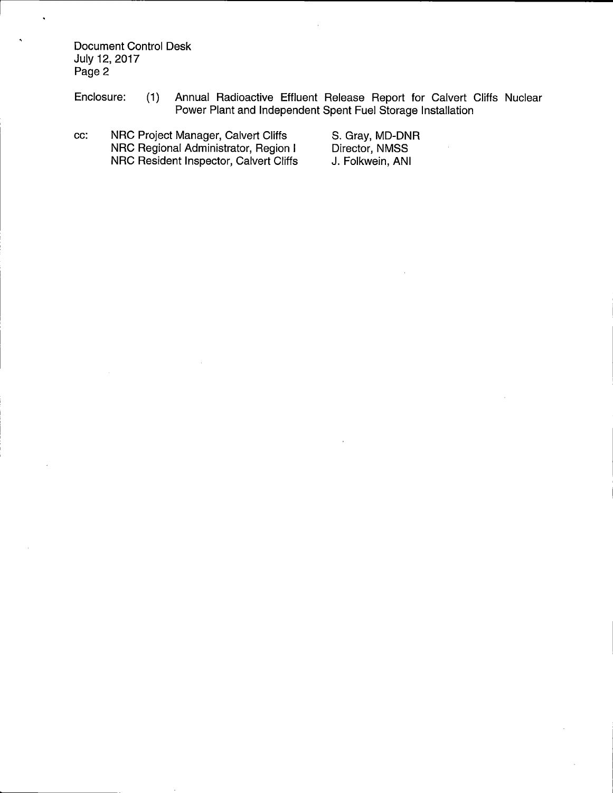Document Control Desk July 12, 2017 Page 2

 $\bullet$ 

Enclosure: (1) Annual Radioactive Effluent Release Report for Calvert Cliffs Nuclear Power Plant and Independent Spent Fuel Storage Installation

cc: NRC Project Manager, Calvert Cliffs NRC Regional Administrator, Region I NRC Resident Inspector, Calvert Cliffs S. Gray, MD-DNR Director, NMSS J. Folkwein, ANI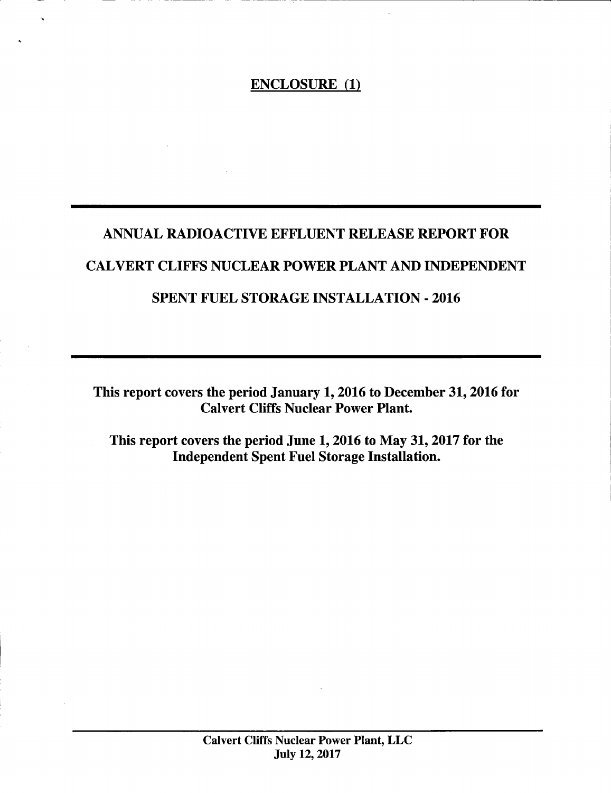# ENCLOSURE (1)

# ANNUAL RADIOACTIVE EFFLUENT RELEASE REPORT FOR CAL VERT CLIFFS NUCLEAR POWER PLANT AND INDEPENDENT SPENT FUEL STORAGE INSTALLATION - 2016

This report covers the period January 1, 2016 to December 31, 2016 for Calvert Cliffs Nuclear Power Plant.

This report covers the period June 1, 2016 to May 31, 2017 for the Independent Spent Fuel Storage Installation.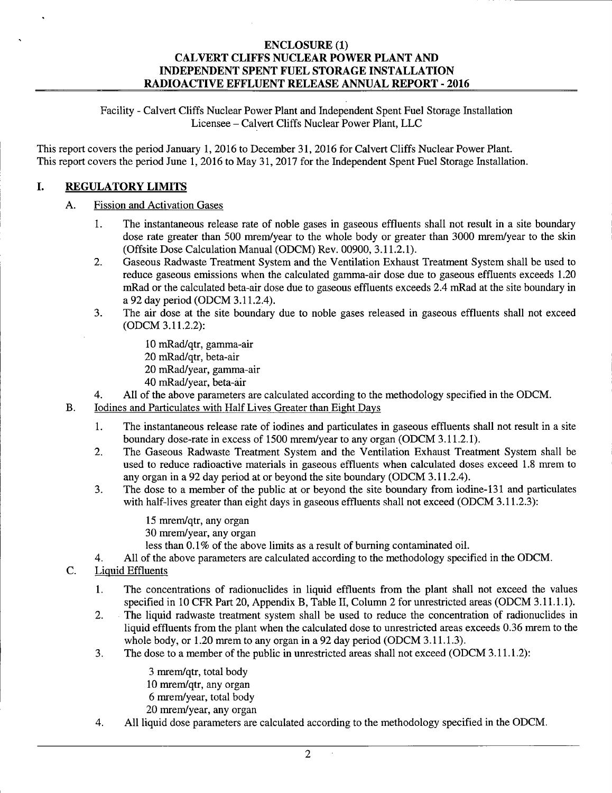Facility - Calvert Cliffs Nuclear Power Plant and Independent Spent Fuel Storage Installation Licensee - Calvert Cliffs Nuclear Power Plant, LLC

This report covers the period January 1, 2016 to December 31, 2016 for Calvert Cliffs Nuclear Power Plant. This report covers the period June 1, 2016 to May 31, 2017 for the Independent Spent Fuel Storage Installation.

# **I. REGULATORY LIMITS**

# A. Fission and Activation Gases

- 1. The instantaneous release rate of noble gases in gaseous effluents shall not result in a site boundary dose rate greater than 500 mrem/year to the whole body or greater than 3000 mrem/year to the skin (Offsite Dose Calculation Manual (ODCM) Rev. 00900, 3.11.2.1).
- 2. Gaseous Radwaste Treatment System and the Ventilation Exhaust Treatment System shall be used to reduce gaseous emissions when the calculated gamma-air dose due to gaseous effluents exceeds 1.20 mRad or the calculated beta-air dose due to gaseous effluents exceeds 2.4 mRad at the site boundary in a 92 day period (ODCM 3.11.2.4).
- 3. The air dose at the site boundary due to noble gases released in gaseous effluents shall not exceed (ODCM 3.11.2.2):
	- 10 mRad/qtr, gamma-air
	- 20 mRad/qtr, beta-air
	- 20 mRad/year, gamma-air
	- 40 mRad/year, beta-air
- 4. All of the above parameters are calculated according to the methodology specified in the ODCM.
- B. Iodines and Particulates with Half Lives Greater than Eight Days
	- 1. The instantaneous release rate of iodines and particulates in gaseous effluents shall not result in a site boundary dose-rate in excess of 1500 mrem/year to any organ (ODCM 3.11.2.1).
	- 2. The Gaseous Radwaste Treatment System and the Ventilation Exhaust Treatment System shall be used to reduce radioactive materials in gaseous effluents when calculated doses exceed 1.8 mrem to any organ in a 92 day period at or beyond the site boundary (ODCM 3.11.2.4).
	- 3. The dose to a member of the public at or beyond the site boundary from iodine-131 and particulates with half-lives greater than eight days in gaseous effluents shall not exceed (ODCM 3.11.2.3):
		- 15 mrem/qtr, any organ 30 mrem/year, any organ
		- less than 0.1% of the above limits as a result of burning contaminated oil.
	- 4. All of the above parameters are calculated according to the methodology specified in the ODCM.
- C. Liquid Effluents
	- **1.** The concentrations of radionuclides in liquid effluents from the plant shall not exceed the values specified in 10 CFR Part 20, Appendix B, Table II, Column 2 for unrestricted areas (ODCM 3.11.1.1).
	- 2. The liquid radwaste treatment system shall be used to reduce the concentration of radionuclides in liquid effluents from the plant when the calculated dose to unrestricted areas exceeds 0.36 mrem to the whole body, or 1.20 mrem to any organ in a 92 day period (ODCM 3.11.1.3).
	- 3. The dose to a member of the public in unrestricted areas shall not exceed (ODCM 3.11.1.2):

3 mrem/qtr, total body 10 mrem/qtr, any organ 6 mrem/year, total body 20 mrem/year, any organ

4. All liquid dose parameters are calculated according to the methodology specified in the ODCM.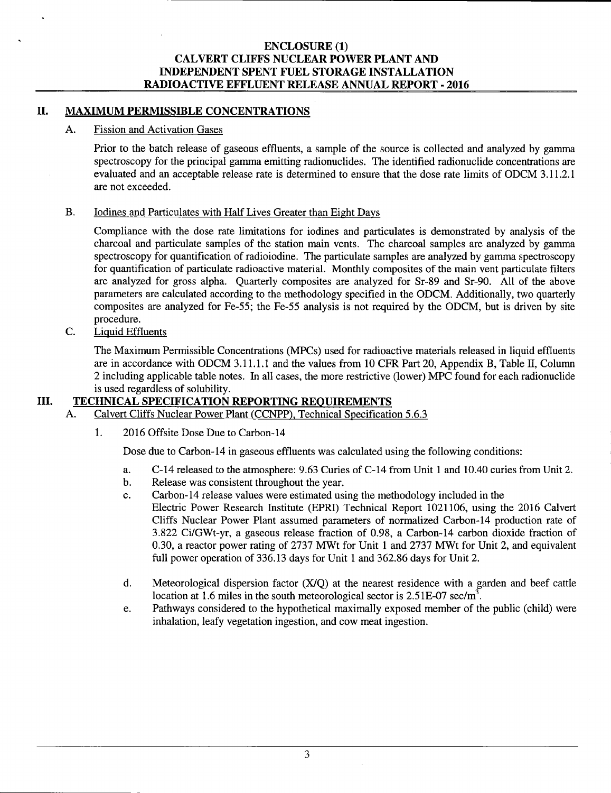# II. MAXIMUM PERMISSIBLE CONCENTRATIONS

# A. Fission and Activation Gases

Prior to the batch release of gaseous effluents, a sample of the source is collected and analyzed by gamma spectroscopy for the principal gamma emitting radionuclides. The identified radionuclide concentrations are evaluated and an acceptable release rate is determined to ensure that the dose rate limits of ODCM 3.11.2.1 are not exceeded.

# B. Iodines and Particulates with Half Lives Greater than Eight Days

Compliance with the dose rate limitations for iodines and particulates is demonstrated by analysis of the charcoal and particulate samples of the station main vents. The charcoal samples are analyzed by gamma spectroscopy for quantification of radioiodine. The particulate samples are analyzed by gamma spectroscopy for quantification of particulate radioactive material. Monthly composites of the main vent particulate filters are analyzed for gross alpha. Quarterly composites are analyzed for Sr-89 and Sr-90. All of the above parameters are calculated according to the methodology specified in the ODCM. Additionally, two quarterly composites are analyzed for Fe-55; the Fe-55 analysis is not required by the ODCM, but is driven by site procedure.

C. Liquid Effluents

The Maximum Permissible Concentrations (MPCs) used for radioactive materials released in liquid effluents are in accordance with ODCM 3.11.1.1 and the values from 10 CPR Part 20, Appendix B, Table II, Column 2 including applicable table notes. In all cases, the more restrictive (lower) MPC found for each radionuclide is used regardless of solubility.

# III. TECHNICAL SPECIFICATION REPORTING REQUIREMENTS

- A. Calvert Cliffs Nuclear Power Plant (CCNPP), Technical Specification 5.6.3
	- 1. 2016 Offsite Dose Due to Carbon-14

Dose due to Carbon-14 in gaseous effluents was calculated using the following conditions:

- a. C-14 released to the atmosphere: 9.63 Curies of C-14 from Unit 1 and 10.40 curies from Unit 2.
- b. Release was consistent throughout the year.
- c. Carbon-14 release values were estimated using the methodology included in the Electric Power Research Institute (EPRI) Technical Report 1021106, using the 2016 Calvert Cliffs Nuclear Power Plant assumed parameters of normalized Carbon-14 production rate of 3.822 Ci/GWt-yr, a gaseous release fraction of 0.98, a Carbon-14 carbon dioxide fraction of 0.30, a reactor power rating of 2737 MWt for Unit 1 and 2737 MWt for Unit 2, and equivalent full power operation of 336.13 days for Unit 1 and 362.86 days for Unit 2.
- d. Meteorological dispersion factor  $(X/O)$  at the nearest residence with a garden and beef cattle location at 1.6 miles in the south meteorological sector is 2.51E-07 sec/m<sup>3</sup>.
- e. Pathways considered to the hypothetical maximally exposed member of the public (child) were inhalation, leafy vegetation ingestion, and cow meat ingestion.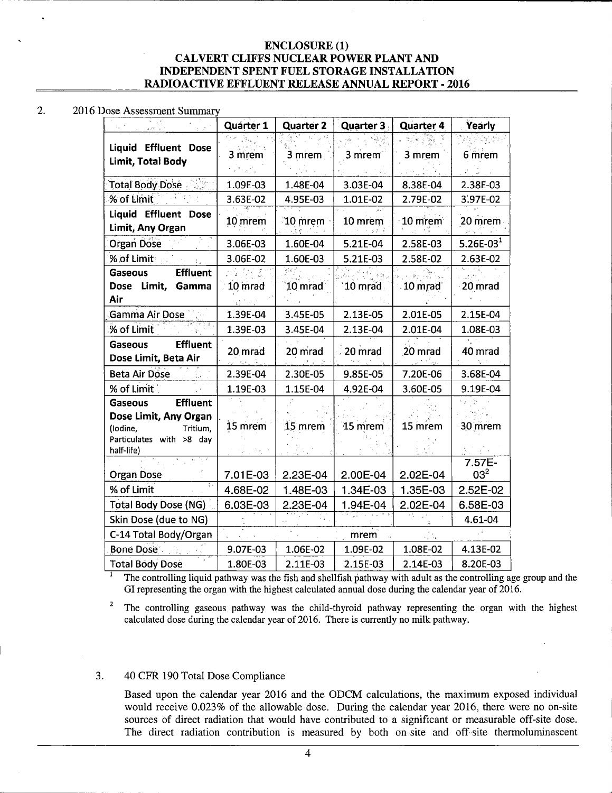#### 2. 2016 Dose Assessment Summary

| को स्थान<br>कालो स                               | Quarter 1 | <b>Quarter 2</b> | Quarter 3 | Quarter 4               | Yearly          |
|--------------------------------------------------|-----------|------------------|-----------|-------------------------|-----------------|
|                                                  |           |                  |           |                         |                 |
| <b>Liquid Effluent Dose</b><br>Limit, Total Body | 3 mrem    | 3 mrem           | 3 mrem    | 3 mrem                  | 6 mrem          |
|                                                  | 化学分析      |                  |           |                         |                 |
| 카라<br>Total Body Dose                            | 1.09E-03  | 1.48E-04         | 3.03E-04  | 8.38E-04                | 2.38E-03        |
| % of Limit                                       | 3.63E-02  | 4.95E-03         | 1.01E-02  | 2.79E-02                | 3.97E-02        |
| Liquid Effluent Dose                             | 10 mrem   | $10$ mrem        | 10 mrem   | $\cdot$ 10 mrem $\cdot$ | 20 mrem         |
| Limit, Any Organ                                 |           |                  | ್ ಪ್ರತಿಕೆ |                         |                 |
| Organ Dose                                       | 3.06E-03  | 1.60E-04         | 5.21E-04  | 2.58E-03                | $5.26E-031$     |
| % of Limit<br>$\pm$                              | 3.06E-02  | 1.60E-03         | 5.21E-03  | 2.58E-02                | 2.63E-02        |
| <b>Effluent</b><br>Gaseous                       |           | टोनी             |           |                         |                 |
| Dose Limit,<br>Gamma                             | 10 mrad   | $10$ mrad        | 10 mrad   | 10 mrad                 | 20 mrad         |
| Air                                              |           |                  |           |                         |                 |
| Gamma Air Dose                                   | 1.39E-04  | 3.45E-05         | 2.13E-05  | 2.01E-05                | 2.15E-04        |
| रु पत्र ,<br>% of Limit                          | 1.39E-03  | 3.45E-04         | 2.13E-04  | 2.01E-04                | 1.08E-03        |
| <b>Effluent</b><br><b>Gaseous</b>                | 20 mrad   | 20 mrad          | 20 mrad   | 20 mrad                 | 40 mrad         |
| Dose Limit, Beta Air                             |           |                  |           |                         |                 |
| <b>Beta Air Dose</b>                             | 2.39E-04  | 2.30E-05         | 9.85E-05  | 7.20E-06                | 3.68E-04        |
| % of Limit                                       | 1.19E-03  | 1.15E-04         | 4.92E-04  | 3.60E-05                | 9.19E-04        |
| <b>Effluent</b><br><b>Gaseous</b>                |           |                  |           |                         |                 |
| Dose Limit, Any Organ                            |           |                  |           |                         |                 |
| Tritium,<br>(lodine,<br>Particulates with >8 day | 15 mrem   | 15 mrem          | $15$ mrem | 15 mrem                 | 30 mrem         |
| half-life)                                       |           |                  |           |                         |                 |
|                                                  |           |                  |           |                         | 7.57E-          |
| Organ Dose                                       | 7.01E-03  | 2.23E-04         | 2.00E-04  | 2.02E-04                | 03 <sup>2</sup> |
| % of Limit                                       | 4.68E-02  | 1.48E-03         | 1.34E-03  | 1.35E-03                | 2.52E-02        |
| <b>Total Body Dose (NG)</b>                      | 6.03E-03  | 2.23E-04         | 1.94E-04  | 2.02E-04                | 6.58E-03        |
| Skin Dose (due to NG)                            |           |                  |           |                         | 4.61-04         |
| C-14 Total Body/Organ                            |           |                  | mrem      |                         |                 |
| <b>Bone Dose</b>                                 | 9.07E-03  | 1.06E-02         | 1.09E-02  | 1.08E-02                | 4.13E-02        |
| <b>Total Body Dose</b>                           | 1.80E-03  | 2.11E-03         | 2.15E-03  | 2.14E-03                | 8.20E-03        |

1 The controlling liquid pathway was the fish and shellfish pathway with adult as the controlling age group and the GI representing the organ with the highest calculated annual dose during the calendar year of 2016.

<sup>2</sup> The controlling gaseous pathway was the child-thyroid pathway representing the organ with the highest calculated dose during the calendar year of 2016. There is currently no milk pathway.

### 3. 40 CFR 190 Total Dose Compliance

Based upon the calendar year 2016 and the ODCM calculations, the maximum exposed individual would receive 0.023% of the allowable dose. During the calendar year 2016, there were no on-site sources of direct radiation that would have contributed to a significant or measurable off-site dose. The direct radiation contribution is measured by both on-site and off-site thermoluminescent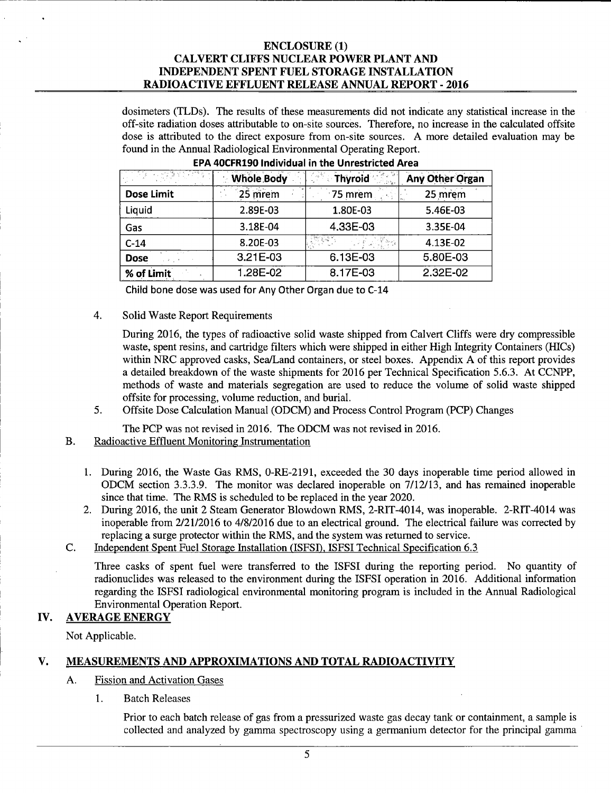dosimeters (TLDs). The results of these measurements did not indicate any statistical increase in the off-site radiation doses attributable to on-site sources. Therefore, no increase in the calculated offsite dose is attributed to the direct exposure from on-site sources. A more detailed evaluation may be found in the Annual Radiological Environmental Operating Report.

|                   | <b>Whole Body</b> | <b>Thyroid</b> | Any Other Organ |
|-------------------|-------------------|----------------|-----------------|
| <b>Dose Limit</b> | 25 mrem           | 75 mrem        | 25 mrem         |
| Liquid            | 2.89E-03          | 1.80E-03       | 5.46E-03        |
| Gas               | 3.18E-04          | 4.33E-03       | 3.35E-04        |
| $C-14$            | 8.20E-03          |                | 4.13E-02        |
| <b>Dose</b>       | 3.21E-03          | 6.13E-03       | 5.80E-03        |
| % of Limit        | 1.28E-02          | 8.17E-03       | 2.32E-02        |

### EPA 40CFR190 Individual in the Unrestricted Area

Child bone dose was used for Any Other Organ due to C-14

4. Solid Waste Report Requirements

During 2016, the types of radioactive solid waste shipped from Calvert Cliffs were dry compressible waste, spent resins, and cartridge filters which were shipped in either High Integrity Containers (HICs) within NRC approved casks, Sea/Land containers, or steel boxes. Appendix A of this report provides a detailed breakdown of the waste shipments for 2016 per Technical Specification 5.6.3. At CCNPP, methods of waste and materials segregation are used to reduce the volume of solid waste shipped offsite for processing, volume reduction, and burial.

5. Offsite Dose Calculation Manual (ODCM) and Process Control Program (PCP) Changes

The PCP was not revised in 2016. The ODCM was not revised in 2016.

B. Radioactive Effluent Monitoring Instrumentation

- 1. During 2016, the Waste Gas RMS, O-RE-2191, exceeded the 30 days inoperable time period allowed in ODCM section 3.3.3.9. The monitor was declared inoperable on 7/12/13, and has remained inoperable since that time. The RMS is scheduled to be replaced in the year 2020.
- 2. During 2016, the unit 2 Steam Generator Blowdown RMS, 2-RIT-4014, was inoperable. 2-RIT-4014 was inoperable from 2/21/2016 to 4/8/2016 due to an electrical ground. The electrical failure was corrected by replacing a surge protector within the RMS, and the system was returned to service.
- C. Independent Spent Fuel Storage Installation (ISFSD, ISFSI Technical Specification 6.3

Three casks of spent fuel were transferred to the ISFSI during the reporting period. No quantity of radionuclides was released to the environment during the ISFSI operation in 2016. Additional information regarding the ISFSI radiological environmental monitoring program is included in the Annual Radiological Environmental Operation Report.

# IV. AVERAGE ENERGY

Not Applicable.

# V. MEASUREMENTS AND APPROXIMATIONS AND TOTAL RADIOACTIVITY

- A. Fission and Activation Gases
	- 1. Batch Releases

Prior to each batch release of gas from a pressurized waste gas decay tank or containment, a sample is collected and analyzed by gamma spectroscopy using a germanium detector for the principal gamma ·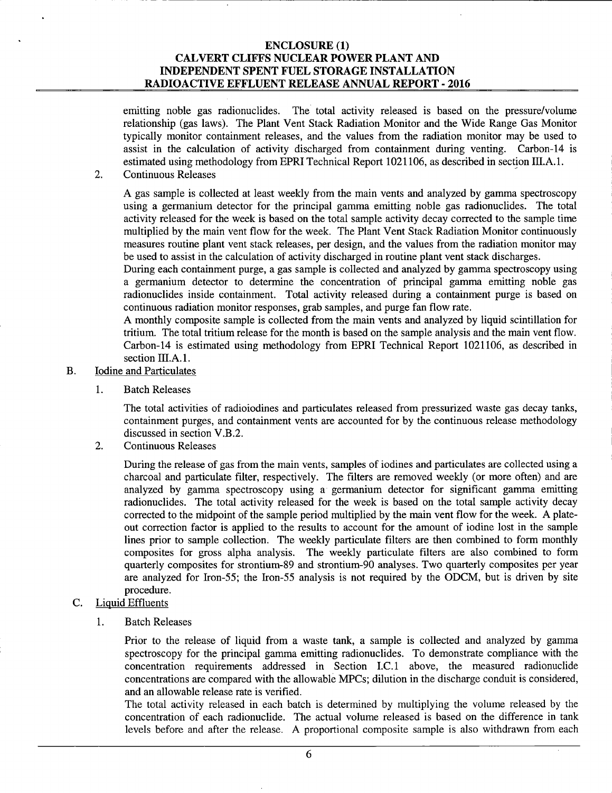emitting noble gas radionuclides. The total activity released is based on the pressure/volume relationship (gas laws). The Plant Vent Stack Radiation Monitor and the Wide Range Gas Monitor typically monitor containment releases, and the values from the radiation monitor may be used to assist in the calculation of activity discharged from containment during venting. Carbon-14 is estimated using methodology from EPRI Technical Report 1021106, as described in section III.A.1.

2. Continuous Releases

A gas sample is collected at least weekly from the main vents and analyzed by gamma spectroscopy using a germanium detector for the principal gamma emitting noble gas radionuclides. The total activity released for the week is based on the total sample activity decay corrected to the sample time multiplied by the main vent flow for the week. The Plant Vent Stack Radiation Monitor continuously measures routine plant vent stack releases, per design, and the values from the radiation monitor may be used to assist in the calculation of activity discharged in routine plant vent stack discharges.

During each containment purge, a gas sample is collected and analyzed by gamma spectroscopy using a germanium detector to determine the concentration of principal gamma emitting noble gas radionuclides inside containment. Total activity released during a containment purge is based on continuous radiation monitor responses, grab samples, and purge fan flow rate.

A monthly composite sample is collected from the main vents and analyzed by liquid scintillation for tritium. The total tritium release for the month is based on the sample analysis and the main vent flow. Carbon-14 is estimated using methodology from EPRI Technical Report 1021106, as described in section III.A.1.

- B. Iodine and Particulates
	- 1. Batch Releases

The total activities of radioiodines and particulates released from pressurized waste gas decay tanks, containment purges, and containment vents are accounted for by the continuous release methodology discussed in section V.B.2.

2. Continuous Releases

During the release of gas from the main vents, samples of iodines and particulates are collected using a charcoal and particulate filter, respectively. The filters are removed weekly (or more often) and are analyzed by gamma spectroscopy using a germanium detector for significant gamma emitting radionuclides. The total activity released for the week is based on the total sample activity decay corrected to the midpoint of the sample period multiplied by the main vent flow for the week. A plateout correction factor is applied to the results to account for the amount of iodine lost in the sample lines prior to sample collection. The weekly particulate filters are then combined to form monthly composites for gross alpha analysis. The weekly particulate filters are also combined to form quarterly composites for strontium-89 and strontium-90 analyses. Two quarterly composites per year are analyzed for Iron-55; the Iron-55 analysis is not required by the ODCM, but is driven by site procedure.

- C. Liquid Effluents
	- 1. Batch Releases

Prior to the release of liquid from a waste tank, a sample is collected and analyzed by gamma spectroscopy for the principal gamma emitting radionuclides. To demonstrate compliance with the concentration requirements addressed in Section I.C.1 above, the measured radionuclide concentrations are compared with the allowable MPCs; dilution in the discharge conduit is considered, and an allowable release rate is verified.

The total activity released in each batch is determined by multiplying the volume released by the concentration of each radionuclide. The actual volume released is based on the difference in tank levels before and after the release. A proportional composite sample is also withdrawn from each

6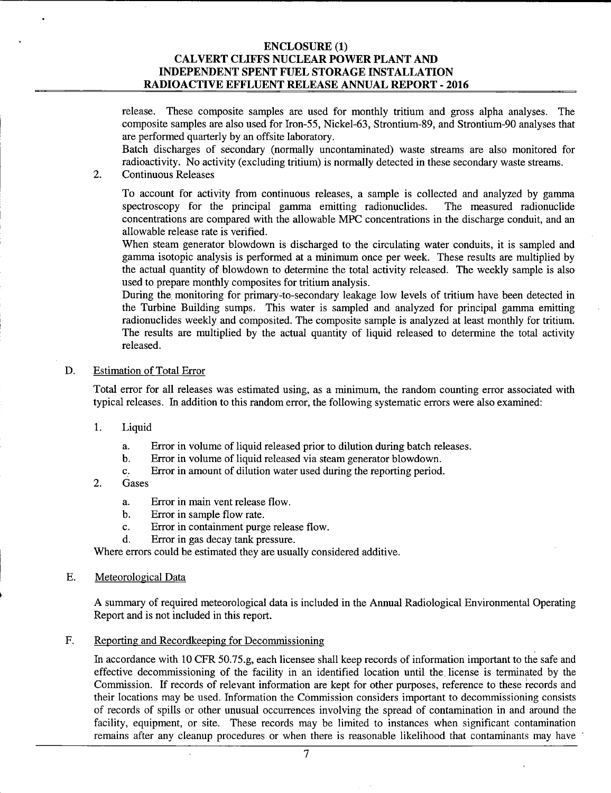release. These composite samples are used for monthly tritium and gross alpha analyses. The composite samples are also used for Iron-55, Nickel-63, Strontium-89, and Strontium-90 analyses that are performed quarterly by an offsite laboratory.

Batch discharges of secondary (normally uncontaminated) waste streams are also monitored for radioactivity. No activity (excluding tritium) is normally detected in these secondary waste streams.

2. Continuous Releases

To account for activity from continuous releases, a sample is collected and analyzed by gamma spectroscopy for the principal gamma emitting radionuclides. The measured radionuclide concentrations are compared with the allowable MPC concentrations in the discharge conduit, and an allowable release rate is verified.

When steam generator blowdown is discharged to the circulating water conduits, it is sampled and gamma isotopic analysis is performed at a minimum once per week. These results are multiplied by the actual quantity of blowdown to determine the total activity released. The weekly sample is also used to prepare monthly composites for tritium analysis.

During the monitoring for primary-to-secondary leakage low levels of tritium have been detected in the Turbine Building sumps. This water is sampled and analyzed for principal gamma emitting radionuclides weekly and composited. The composite sample is analyzed at least monthly for tritium. The results are multiplied by the actual quantity of liquid released to determine the total activity released.

#### D. Estimation of Total Error

Total error for all releases was estimated using, as a minimum, the random counting error associated with typical releases. In addition to this random error, the following systematic errors were also examined:

- 1. Liquid
	- a. Error in volume of liquid released prior to dilution during batch releases.
	- b. Error in volume of liquid released via steam generator blowdown.
	- c. Error in amount of dilution water used during the reporting period.
- 2. Gases
	- a. Error in main vent release flow.
	- b. Error in sample flow rate.
	- c. Error in containment purge release flow.
	- d. Error in gas decay tank pressure.

Where errors could be estimated they are usually considered additive.

E. Meteorological Data

A summary of required meteorological data is included in the Annual Radiological Environmental Operating Report and is not included in this report.

F. Reporting and Recordkeeping for Decommissioning

In accordance with 10 CFR 50.75.g, each licensee shall keep records of information important to the safe and effective decommissioning of the facility in an identified location until the. license is terminated by the Commission. If records of relevant information are kept for other purposes, reference to these records and their locations may be used. Information the Commission considers important to decommissioning consists of records of spills or other unusual occurrences involving the spread of contamination in and around the facility, equipment, or site. These records may be limited to instances when significant contamination remains after any cleanup procedures or when there is reasonable likelihood that contaminants may have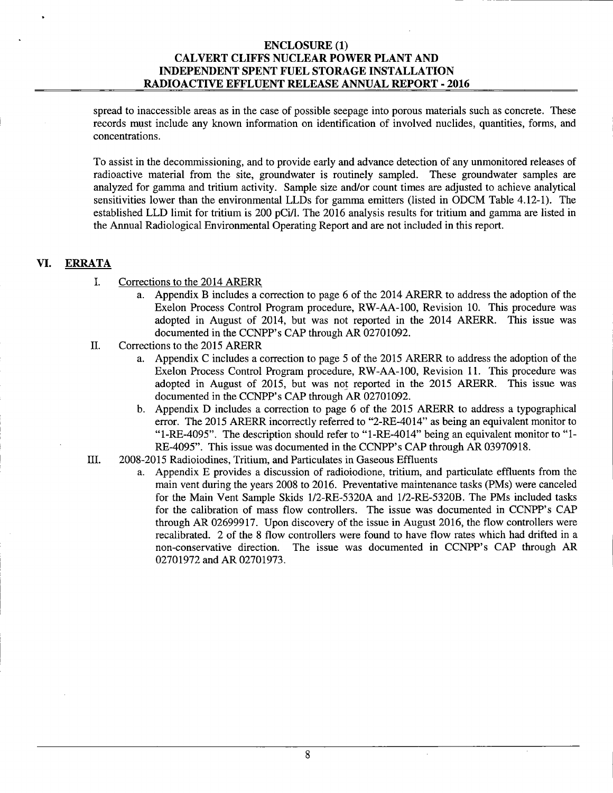spread to inaccessible areas as in the case of possible seepage into porous materials such as concrete. These records must include any known information on identification of involved nuclides, quantities, forms, and concentrations.

To assist in the decommissioning, and to provide early and advance detection of any unmonitored releases of radioactive material from the site, groundwater is routinely sampled. These groundwater samples are analyzed for gamma and tritium activity. Sample size and/or count times are adjusted to achieve analytical sensitivities lower than the environmental LLDs for gamma emitters (listed in ODCM Table 4.12-1). The established LLD limit for tritium is 200 pCi/l. The 2016 analysis results for tritium and gamma are listed in the Annual Radiological Environmental Operating Report and are not included in this report.

# **VI. ERRATA**

- I. Corrections to the 2014 ARERR
	- a. Appendix B includes a correction to page 6 of the 2014 ARERR to address the adoption of the Exelon Process Control Program procedure, RW-AA-100, Revision 10. This procedure was adopted in August of 2014, but was not reported in the 2014 ARERR. This issue was documented in the CCNPP's CAP through AR 02701092.
- II. Corrections to the 2015 ARERR
	- a. Appendix C includes a correction to page 5 of the 2015 ARERR to address the adoption of the Exelon Process Control Program procedure, RW-AA-100, Revision 11. This procedure was adopted in August of 2015, but was not reported in the 2015 ARERR. This issue was documented in the CCNPP's CAP through AR 02701092.
	- b. Appendix D includes a correction to page 6 of the 2015 ARERR to address a typographical error. The 2015 ARERR incorrectly referred to "2-RE-4014" as being an equivalent monitor to "l-RE-4095". The description should refer to "1-RE-4014" being an equivalent monitor to "1- RE-4095". This issue was documented in the CCNPP's CAP through AR 03970918.
- III. 2008-2015 Radioiodines, Tritium, and Particulates in Gaseous Effluents
	- a. Appendix E provides a discussion of radioiodione, tritium, and particulate effluents from the main vent during the years 2008 to 2016. Preventative maintenance tasks (PMs) were canceled for the Main Vent Sample Skids l/2-RE-5320A and 1/2-RE-5320B. The PMs included tasks for the calibration of mass flow controllers. The issue was documented in CCNPP's CAP through AR 02699917. Upon discovery of the issue in August 2016, the flow controllers were recalibrated. 2 of the 8 flow controllers were found to have flow rates which had drifted in a non-conservative direction. The issue was documented in CCNPP's CAP through AR 02701972 and AR 02701973.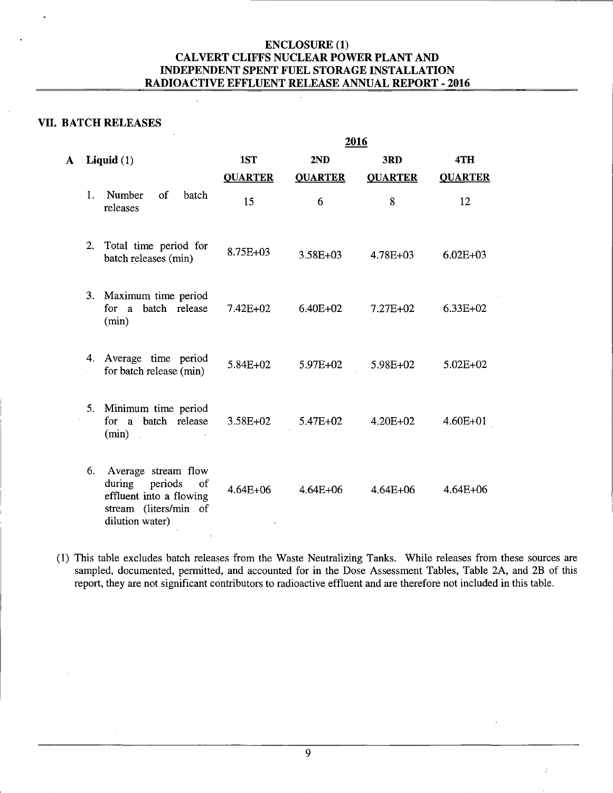# **VII. BATCH RELEASES**

**A Liquid** (1)

|    |                                                                                                                    |                |                | 2016           |                |
|----|--------------------------------------------------------------------------------------------------------------------|----------------|----------------|----------------|----------------|
|    | Liquid $(1)$                                                                                                       | 1ST            | 2ND            | 3RD            | 4TH            |
|    |                                                                                                                    | <b>QUARTER</b> | <b>QUARTER</b> | <b>QUARTER</b> | <b>QUARTER</b> |
| 1. | Number<br>of<br>batch<br>releases                                                                                  | 15             | 6              | 8              | 12             |
| 2. | Total time period for<br>batch releases (min)                                                                      | 8.75E+03       | 3.58E+03       | $4.78E + 03$   | $6.02E + 03$   |
| 3. | Maximum time period<br>for a batch release<br>(min)                                                                | $7.42E + 02$   | $6.40E + 02$   | $7.27E + 02$   | $6.33E+02$     |
| 4. | Average time period<br>for batch release (min)                                                                     | 5.84E+02       | 5.97E+02       | $5.98E+02$     | $5.02E + 02$   |
| 5. | Minimum time period<br>for a batch release<br>(min)                                                                | 3.58E+02       | 5.47E+02       | 4.20E+02       | 4.60E+01       |
| 6. | Average stream flow<br>during periods<br>of<br>effluent into a flowing<br>stream (liters/min of<br>dilution water) | $4.64E + 06$   | $4.64E + 06$   | $4.64E + 06$   | 4.64E+06       |

**(1)** This table excludes batch releases from the Waste Neutralizing Tanks. While releases from these sources are sampled, documented, permitted, and accounted for in the Dose Assessment Tables, Table 2A, and 2B of this report, they are not significant contributors to radioactive effluent and are therefore not included in this table.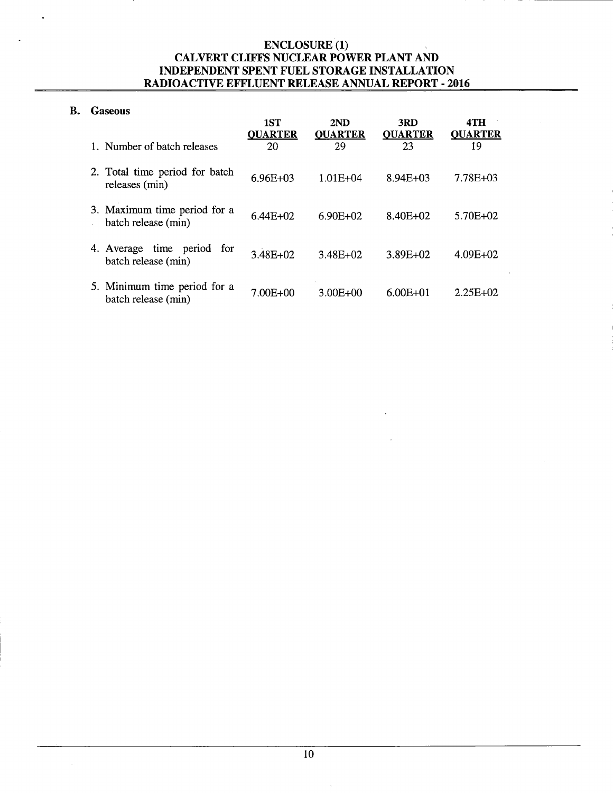# B. Gaseous

|                                                      | 1ST<br><b>QUARTER</b> | 2ND<br><b>OUARTER</b> | 3RD<br><b>QUARTER</b> | 4TH<br><b>OUARTER</b> |
|------------------------------------------------------|-----------------------|-----------------------|-----------------------|-----------------------|
| 1. Number of batch releases                          | 20                    | 29                    | 23                    | 19                    |
| 2. Total time period for batch<br>releases (min)     | $6.96E + 03$          | 1.01E+04              | $8.94E + 03$          | 7.78E+03              |
| 3. Maximum time period for a<br>batch release (min)  | $6.44E + 02$          | $6.90E + 02$          | 8.40E+02              | 5.70E+02              |
| time period for<br>4. Average<br>batch release (min) | $3.48E + 02$          | 3.48E+02              | 3.89E+02              | $4.09E + 02$          |
| 5. Minimum time period for a<br>batch release (min)  | 7.00E+00              | $3.00E + 00$          | $6.00E + 01$          | $2.25E + 02$          |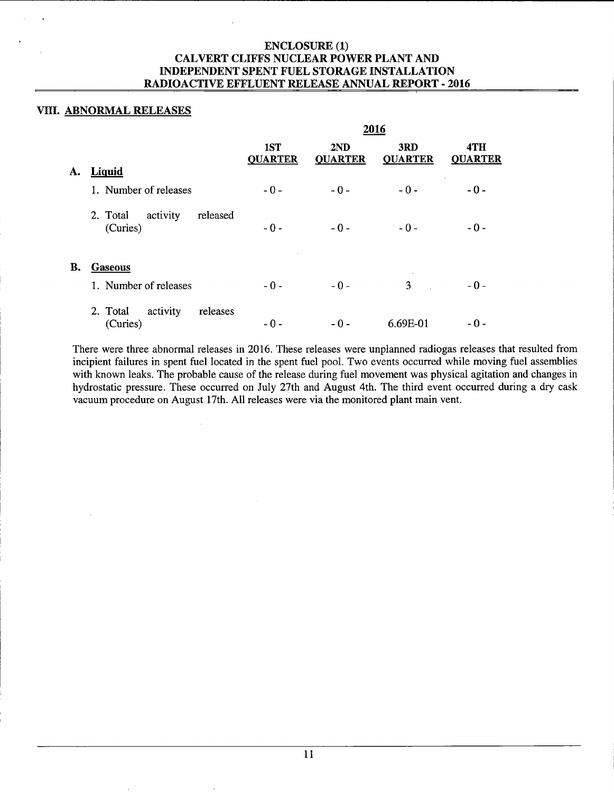# VIII. ABNORMAL RELEASES

|    |                                              |                       |                       | 2016                  |                       |
|----|----------------------------------------------|-----------------------|-----------------------|-----------------------|-----------------------|
|    |                                              | 1ST<br><b>QUARTER</b> | 2ND<br><b>QUARTER</b> | 3RD<br><b>QUARTER</b> | 4TH<br><b>QUARTER</b> |
| A. | Liquid                                       |                       |                       |                       |                       |
|    | 1. Number of releases                        | $-0-$                 | $-0-$                 | $-0-$                 | $-0-$                 |
|    | activity<br>released<br>2. Total<br>(Curies) | $-0-$                 | $-0-$                 | $-0-$                 | $-0-$                 |
| В. | <b>Gaseous</b>                               |                       |                       |                       |                       |
|    | 1. Number of releases                        | $-0-$                 | $-0-$                 | 3                     | $-0-$                 |
|    | activity<br>releases<br>2. Total<br>(Curies) | $-0-$                 | $-0-$                 | 6.69E-01              | - 0 -                 |

There were three abnormal releases in 2016. These releases were unplanned radiogas releases that resulted from incipient failures in spent fuel located in the spent fuel pool. Two events occurred while moving fuel assemblies with known leaks. The probable cause of the release during fuel movement was physical agitation and changes in hydrostatic pressure. These occurred on July 27th and August 4th. The third event occurred during a dry cask vacuum procedure on August 17th. All releases were via the monitored plant main vent.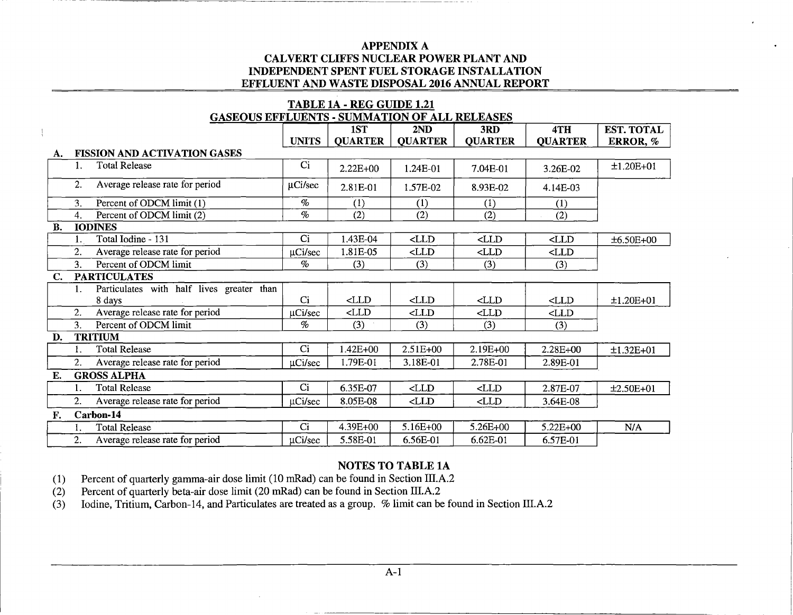|    | <b>TABLE 1A - REG GUIDE 1.21</b> |                                                      |                |                |                |                |                                  |                   |  |  |  |  |
|----|----------------------------------|------------------------------------------------------|----------------|----------------|----------------|----------------|----------------------------------|-------------------|--|--|--|--|
|    |                                  | <b>GASEOUS EFFLUENTS - SUMMATION OF ALL RELEASES</b> |                |                |                |                |                                  |                   |  |  |  |  |
|    |                                  |                                                      |                | 1ST            | 2ND            | 3RD            | 4TH                              | <b>EST. TOTAL</b> |  |  |  |  |
|    |                                  |                                                      | <b>UNITS</b>   | <b>QUARTER</b> | <b>QUARTER</b> | <b>QUARTER</b> | <b>QUARTER</b>                   | ERROR, %          |  |  |  |  |
| A. |                                  | <b>FISSION AND ACTIVATION GASES</b>                  |                |                |                |                |                                  |                   |  |  |  |  |
|    |                                  | <b>Total Release</b>                                 | Ci             | $2.22E + 00$   | 1.24E-01       | 7.04E-01       | 3.26E-02                         | $±1.20E+01$       |  |  |  |  |
|    | 2.                               | Average release rate for period                      | µCi/sec        | 2.81E-01       | 1.57E-02       | 8.93E-02       | 4.14E-03                         |                   |  |  |  |  |
|    | 3.                               | Percent of ODCM limit (1)                            | $\%$           | (1)            | (1)            | (1)            | (1)                              |                   |  |  |  |  |
|    | 4.                               | Percent of ODCM limit (2)                            | $\%$           | (2)            | (2)            | (2)            | (2)                              |                   |  |  |  |  |
| В. |                                  | <b>IODINES</b>                                       |                |                |                |                |                                  |                   |  |  |  |  |
|    |                                  | Total Iodine - 131                                   | Ci             | 1.43E-04       | CLLD           | $<$ LLD        | $\textensuremath{\mathsf{CLLD}}$ | $±6.50E+00$       |  |  |  |  |
|    | 2.                               | Average release rate for period                      | µCi/sec        | 1.81E-05       | CLLD           | $<$ LLD        | $<$ LLD                          |                   |  |  |  |  |
|    | 3.                               | Percent of ODCM limit                                | $\%$           | (3)            | (3)            | (3)            | (3)                              |                   |  |  |  |  |
| C. |                                  | <b>PARTICULATES</b>                                  |                |                |                |                |                                  |                   |  |  |  |  |
|    | 1.                               | Particulates with half lives greater than            |                |                |                |                |                                  |                   |  |  |  |  |
|    |                                  | 8 days                                               | C <sub>i</sub> | $\triangle$ LD | $<$ LLD        | CLLD           | $<$ LLD                          | $±1.20E+01$       |  |  |  |  |
|    | 2.                               | Average release rate for period                      | µCi/sec        | $<$ LLD        | CLLD           | $<$ LLD        | $<$ LLD                          |                   |  |  |  |  |
|    | 3.                               | Percent of ODCM limit                                | $\%$           | (3)            | (3)            | (3)            | (3)                              |                   |  |  |  |  |
| D. |                                  | <b>TRITIUM</b>                                       |                |                |                |                |                                  |                   |  |  |  |  |
|    | 1.                               | <b>Total Release</b>                                 | Ci             | $1.42E + 00$   | $2.51E+00$     | 2.19E+00       | 2.28E+00                         | $±1.32E+01$       |  |  |  |  |
|    | 2.                               | Average release rate for period                      | $\mu$ Ci/sec   | 1.79E-01       | 3.18E-01       | 2.78E-01       | 2.89E-01                         |                   |  |  |  |  |
| Е. |                                  | <b>GROSS ALPHA</b>                                   |                |                |                |                |                                  |                   |  |  |  |  |
|    |                                  | <b>Total Release</b>                                 | Ci             | 6.35E-07       | CLLD           | $\triangle$ LD | 2.87E-07                         | $±2.50E+01$       |  |  |  |  |
|    | 2.                               | Average release rate for period                      | µCi/sec        | 8.05E-08       | CLLD           | CLLD           | 3.64E-08                         |                   |  |  |  |  |
| F. |                                  | Carbon-14                                            |                |                |                |                |                                  |                   |  |  |  |  |
|    | 1.                               | <b>Total Release</b>                                 | Ci             | 4.39E+00       | $5.16E+00$     | 5.26E+00       | 5.22E+00                         | N/A               |  |  |  |  |
|    | 2.                               | Average release rate for period                      | uCi/sec        | 5.58E-01       | 6.56E-01       | 6.62E-01       | 6.57E-01                         |                   |  |  |  |  |

# NOTES TO TABLE 1A

(1) Percent of quarterly gamma-air dose limit (10 mRad) can be found in Section IIl.A.2

(2) Percent of quarterly beta-air dose limit (20 mRad) can be found in Section IIl.A.2

(3) Iodine, Tritium, Carbon-14, and Particulates are treated as a group. % limit can be found in Section IIl.A.2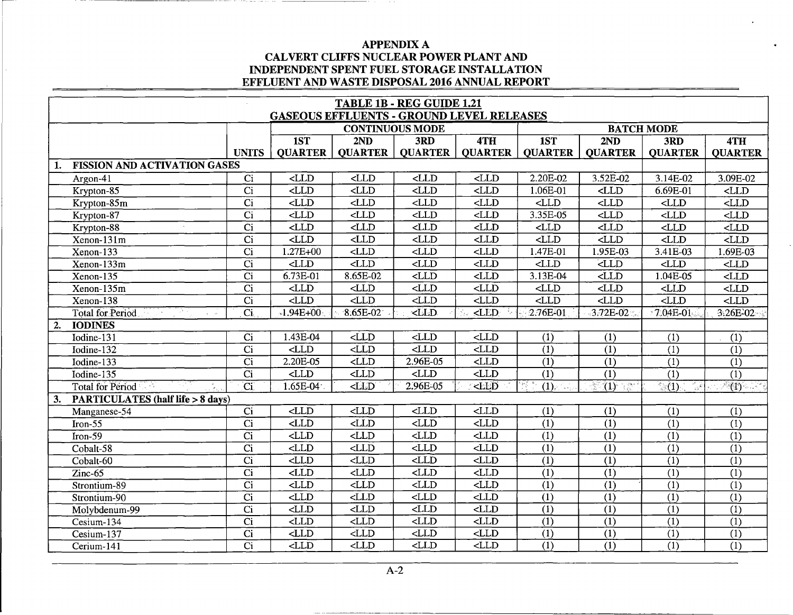|    |                                     |                          |                          |                          | TABLE 1B - REG GUIDE 1.21                        |                                                                                                                                                                                                                                                            |                          |                                                                          |                                  |                           |
|----|-------------------------------------|--------------------------|--------------------------|--------------------------|--------------------------------------------------|------------------------------------------------------------------------------------------------------------------------------------------------------------------------------------------------------------------------------------------------------------|--------------------------|--------------------------------------------------------------------------|----------------------------------|---------------------------|
|    |                                     |                          |                          |                          | <b>GASEOUS EFFLUENTS - GROUND LEVEL RELEASES</b> |                                                                                                                                                                                                                                                            |                          |                                                                          |                                  |                           |
|    |                                     |                          |                          |                          | <b>CONTINUOUS MODE</b>                           |                                                                                                                                                                                                                                                            |                          |                                                                          | <b>BATCH MODE</b>                |                           |
|    |                                     |                          | 1ST                      | 2ND                      | 3RD                                              | 4TH                                                                                                                                                                                                                                                        | 1ST                      | 2ND                                                                      | 3RD                              | 4TH                       |
|    |                                     | <b>UNITS</b>             | <b>QUARTER</b>           | <b>QUARTER</b>           | <b>QUARTER</b>                                   | <b>QUARTER</b>                                                                                                                                                                                                                                             | <b>QUARTER</b>           | <b>QUARTER</b>                                                           | <b>QUARTER</b>                   | <b>QUARTER</b>            |
| 1. | <b>FISSION AND ACTIVATION GASES</b> |                          |                          |                          |                                                  |                                                                                                                                                                                                                                                            |                          |                                                                          |                                  |                           |
|    | Argon-41                            | $\overline{ci}$          | LLD                      | $<$ LLD                  | $\n  LLD\n$                                      | LLD                                                                                                                                                                                                                                                        | $2.20E-02$               | 3.52E-02                                                                 | 3.14E-02                         | 3.09E-02                  |
|    | Krypton-85                          | $\overline{C}$           | $\overline{\text{CLD}}$  | CLLD                     | CLLD                                             | $\overline{\text{CLD}}$                                                                                                                                                                                                                                    | 1.06E-01                 | CLLD                                                                     | $6.69E - 01$                     | LLD                       |
|    | Krypton-85m                         | $\overline{Ci}$          | $\overline{\text{CLLD}}$ | CLLD                     | $<$ LLD                                          | CLLD                                                                                                                                                                                                                                                       | $\overline{\text{CLD}}$  | CLLD                                                                     | $<$ LLD                          | $\overline{LLD}$          |
|    | Krypton-87                          | $\overline{C}$           | $\overline{\text{CLD}}$  | CLLD                     | CLID                                             | CLLD                                                                                                                                                                                                                                                       | 3.35E-05                 | $\overline{\text{CLLD}}$                                                 | $\overline{\text{CLD}}$          | $\overline{\text{CLLD}}$  |
|    | Krypton-88                          | $\overline{C}$           | $\n  LLD\n$              | CLLD                     | $\overline{\text{CLD}}$                          | CLLD                                                                                                                                                                                                                                                       | CLLD                     | CLLD                                                                     | CLLD                             | $\overline{CLID}$         |
|    | Xenon-131m                          | $\overline{Ci}$          | $\overline{\text{CLLD}}$ | CLLD                     | CLLD                                             | CLLD                                                                                                                                                                                                                                                       | CLLD                     | $<$ LLD                                                                  | $\overline{\text{CLD}}$          | $\overline{CLID}$         |
|    | $Xenon-133$                         | $\overline{C}$ i         | $.27E + 00$              | $\overline{\text{CLD}}$  | CLLD                                             | CLLD                                                                                                                                                                                                                                                       | 1.47E-01                 | 1.95E-03                                                                 | 3.41E-03                         | $1.69E-03$                |
|    | $Xenon-133m$                        | $\overline{Ci}$          | $\triangle$ LD           | $\n  <$ LLD              | CLLD                                             | $\overline{\text{CLD}}$                                                                                                                                                                                                                                    | $\overline{\text{CLLD}}$ | <lld< td=""><td>CLLD</td><td><math>&lt;</math>LLD</td></lld<>            | CLLD                             | $<$ LLD                   |
|    | $Xenon-135$                         | $\overline{ci}$          | $6.73E-01$               | $8.65E-02$               | $\overline{\text{CLD}}$                          | $\n  LLD\n$                                                                                                                                                                                                                                                | 3.13E-04                 | $<$ LLD                                                                  | $1.04E-05$                       | $\overline{CLID}$         |
|    | $Xenon-135m$                        | $\overline{C}$           | LLD                      | $\overline{\text{CLD}}$  | $\overline{\text{CLLD}}$                         | CLLD                                                                                                                                                                                                                                                       | $\n  <$ LLD              | CLLD                                                                     | $\overline{\text{CLD}}$          | $\overline{\text{CLID}}$  |
|    | $Xenon-138$                         | $\overline{C}$           | $\overline{\text{CLD}}$  | $-LLD$                   | CLLD                                             | $\overline{\text{CLLD}}$                                                                                                                                                                                                                                   | $\overline{\text{CLD}}$  | $\overline{\text{CLLD}}$                                                 | $\overline{\text{CLD}}$          | $\overline{\text{CLD}}$   |
|    | <b>Total for Period</b>             | $\overline{C_1}$         | $-1.94E + 00.$           | 8.65E-02                 | $\times$ LLD                                     | $\overline{\text{CLED}}$                                                                                                                                                                                                                                   | 2.76E-01                 | 3.72E-02                                                                 | $.7.04E-01$                      | 3.26E-02                  |
| 2. | <b>IODINES</b>                      |                          |                          |                          |                                                  |                                                                                                                                                                                                                                                            |                          |                                                                          |                                  |                           |
|    | $\overline{\text{Iodine-131}}$      | Ci                       | $1.43E - 04$             | $\overline{\text{CLLD}}$ | $\overline{\text{CLD}}$                          | $\overline{\text{CLD}}$                                                                                                                                                                                                                                    | $\overline{(1)}$         | (1)                                                                      | $\overline{(1)}$                 | (1)                       |
|    | Iodine-132                          | $\overline{Ci}$          | $\overline{\text{CLD}}$  | $\overline{\text{CLD}}$  | $\overline{\text{CLD}}$                          | $\overline{\text{CLD}}$                                                                                                                                                                                                                                    | $\overline{(1)}$         | (1)                                                                      | $\overline{(1)}$                 | $\overline{(1)}$          |
|    | Iodine- $133$                       | $\overline{C}$           | $2.20E-05$               | $<$ LLD                  | $2.96E-05$                                       | CLLD                                                                                                                                                                                                                                                       | $\overline{(1)}$         | (1)                                                                      | (1)                              | $\overline{(1)}$          |
|    | Iodine- $135$                       | $\overline{Ci}$          | $\overline{\text{CLD}}$  | $\overline{\text{CLD}}$  | LLD                                              | $\overline{\text{CLD}}$                                                                                                                                                                                                                                    | $\overline{(1)}$         | $\overline{(1)}$                                                         | $\overline{(1)}$                 | $\overline{(1)}$          |
|    | <b>Total for Period</b><br>्र हो।   | $\overline{\mathrm{Ci}}$ | $1.65E-04$               | $\overline{\text{CLD}}$  | 2.96E-05                                         | <lld< td=""><td>(1)</td><td>(1)<br/><math display="inline">\frac{1}{\lambda} \sum_{k=1}^{\lambda} \frac{d\mu}{k} \hat{a}_k</math></td><td><math>\sqrt{1}</math><br/><math>\frac{1}{\omega}</math></td><td><math>\overline{(\mathbf{1})}</math></td></lld<> | (1)                      | (1)<br>$\frac{1}{\lambda} \sum_{k=1}^{\lambda} \frac{d\mu}{k} \hat{a}_k$ | $\sqrt{1}$<br>$\frac{1}{\omega}$ | $\overline{(\mathbf{1})}$ |
| 3. | PARTICULATES (half life > 8 days)   |                          |                          |                          |                                                  |                                                                                                                                                                                                                                                            |                          |                                                                          |                                  |                           |
|    | Manganese-54                        | $\overline{Ci}$          | LLD                      | CLID                     | CLLD                                             | CLLD                                                                                                                                                                                                                                                       | (1)                      | (1)                                                                      | (1)                              | (1)                       |
|    | $Iron-55$                           | $\overline{Ci}$          | $\overline{\text{CLLD}}$ | $<$ LLD                  | $\overline{\text{CLLD}}$                         | $\overline{\text{CLD}}$                                                                                                                                                                                                                                    | $\overline{(1)}$         | (1)                                                                      | $\overline{(1)}$                 | $\overline{1}$            |
|    | $\overline{\text{Iron-59}}$         | $\overline{Ci}$          | LLD                      | CLD                      | $\overline{\text{CLD}}$                          | CLD                                                                                                                                                                                                                                                        | $\overline{(1)}$         | $\overline{(1)}$                                                         | $\overline{(1)}$                 | $\overline{(1)}$          |
|    | Cobalt-58                           | $\overline{C_i}$         | $<$ LLD                  | $<$ LLD                  | $\overline{\text{CLLD}}$                         | $\overline{\text{CLLD}}$                                                                                                                                                                                                                                   | $\overline{(1)}$         | $\overline{(1)}$                                                         | $\overline{(1)}$                 | $\overline{(1)}$          |
|    | Cobalt-60                           | $\overline{C}$ i         | $<$ LL $\overline{D}$    | $<$ LLD                  | CLLD                                             | $<$ LLD                                                                                                                                                                                                                                                    | (1)                      | (1)                                                                      | $\overline{(1)}$                 | $\overline{(1)}$          |
|    | $Zinc-65$                           | $\overline{ci}$          | $\overline{LLD}$         | CLLD                     | $\overline{\text{CLD}}$                          | $\overline{\text{CLD}}$                                                                                                                                                                                                                                    | $\overline{(1)}$         | $\overline{(1)}$                                                         | $\overline{(1)}$                 | $\overline{(1)}$          |
|    | Strontium-89                        | $\overline{C}$ i         | $\overline{\text{CLD}}$  | $\overline{\text{CLD}}$  | $\overline{\text{CLD}}$                          | $\overline{\text{CLD}}$                                                                                                                                                                                                                                    | $\overline{(1)}$         | $\overline{(1)}$                                                         | $\overline{(1)}$                 | $\overline{(1)}$          |
|    | Strontium-90                        | $\overline{Ci}$          | $\overline{\text{CLD}}$  | $\overline{LLD}$         | CLLD                                             | CLD                                                                                                                                                                                                                                                        | $\overline{(1)}$         | $\overline{(1)}$                                                         | $\overline{(1)}$                 | $\overline{(1)}$          |
|    | Molybdenum-99                       | $\overline{ci}$          | $\overline{\text{CLD}}$  | $\overline{\text{CLLD}}$ | $\overline{\text{dLD}}$                          | $\overline{\text{CLD}}$                                                                                                                                                                                                                                    | $\overline{(1)}$         | $\overline{(1)}$                                                         | $\overline{(1)}$                 | $\overline{(1)}$          |
|    | Cesium-134                          | $\overline{ci}$          | $\overline{\text{CLLD}}$ | $\overline{CLLD}$        | $\n  <$ LLD                                      | $\overline{\text{CLD}}$                                                                                                                                                                                                                                    | (1)                      | $\overline{(1)}$                                                         | $\overline{(1)}$                 | $\overline{(1)}$          |
|    | $Cesium-137$                        | $\overline{ci}$          | $\textrm{CLD}$           | $\overline{CLD}$         | $\n  $                                           | CLLD                                                                                                                                                                                                                                                       | $\overline{(1)}$         | $\overline{(1)}$                                                         | $\overline{(1)}$                 | $\overline{(1)}$          |
|    | Cerium-141                          | $\overline{C}$ i         | $\overline{LLD}$         | $\overline{\text{CLD}}$  | $\overline{\text{CLD}}$                          | $\overline{\text{CLD}}$                                                                                                                                                                                                                                    | $\overline{(1)}$         | $\overline{(1)}$                                                         | $\overline{(1)}$                 | $\overline{(1)}$          |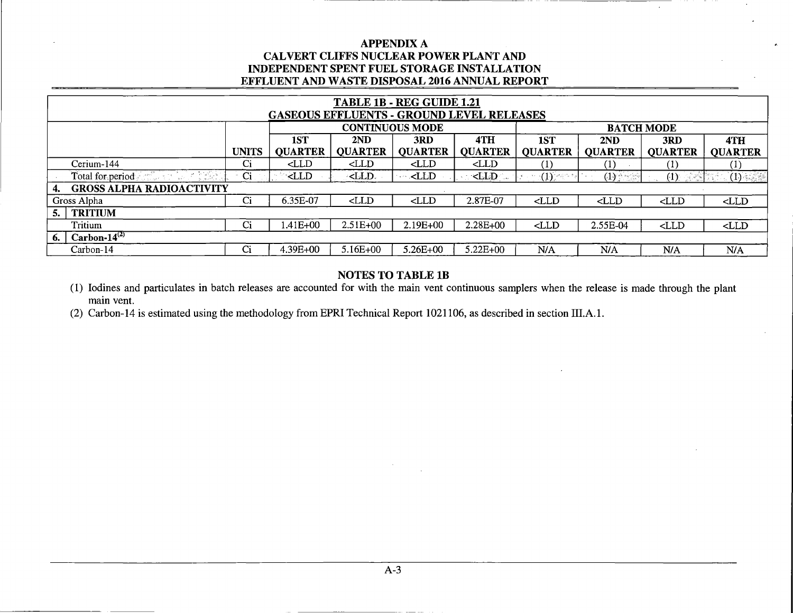| TABLE 1B - REG GUIDE 1.21<br><b>GASEOUS EFFLUENTS - GROUND LEVEL RELEASES</b> |              |                       |                                                                                                                                                                                                                                                                                                                                                                                                   |                        |                       |                                                                                                                                                                            |                       |                       |                       |  |
|-------------------------------------------------------------------------------|--------------|-----------------------|---------------------------------------------------------------------------------------------------------------------------------------------------------------------------------------------------------------------------------------------------------------------------------------------------------------------------------------------------------------------------------------------------|------------------------|-----------------------|----------------------------------------------------------------------------------------------------------------------------------------------------------------------------|-----------------------|-----------------------|-----------------------|--|
|                                                                               |              |                       |                                                                                                                                                                                                                                                                                                                                                                                                   | <b>CONTINUOUS MODE</b> |                       |                                                                                                                                                                            |                       | <b>BATCH MODE</b>     |                       |  |
|                                                                               | <b>UNITS</b> | 1ST<br><b>OUARTER</b> | 2ND<br><b>QUARTER</b>                                                                                                                                                                                                                                                                                                                                                                             | 3RD<br><b>OUARTER</b>  | 4TH<br><b>QUARTER</b> | 1ST<br><b>QUARTER</b>                                                                                                                                                      | 2ND<br><b>QUARTER</b> | 3RD<br><b>OUARTER</b> | 4TH<br><b>QUARTER</b> |  |
| Cerium-144                                                                    | Ci           | $\langle$ LLD         | CLLD                                                                                                                                                                                                                                                                                                                                                                                              | $\triangle$ LD         | $\triangle$ LD        | $\left(1\right)$                                                                                                                                                           | (1)                   |                       | $\left( 1\right)$     |  |
| Total for period                                                              | Ci           | <b>EXLLD</b>          | - <lld.< td=""><td><math>&lt;</math>LLD</td><td><math>&lt;</math>LLD</td><td><math display="block">\label{eq:1} \qquad \qquad \longrightarrow \left( \prod_{j=1}^n \overbrace{ \sum_{j=1}^n \sigma_{\alpha_{j}}^{\alpha_{j}} }^{\alpha_{j}} \sigma_{\beta_{j}} \right) \, .</math></td><td><math>(1)</math> <math>\sim</math></td><td><math>(1)</math> <math>\leq</math></td><td>(1)</td></lld.<> | $<$ LLD                | $<$ LLD               | $\label{eq:1} \qquad \qquad \longrightarrow \left( \prod_{j=1}^n \overbrace{ \sum_{j=1}^n \sigma_{\alpha_{j}}^{\alpha_{j}} }^{\alpha_{j}} \sigma_{\beta_{j}} \right) \, .$ | $(1)$ $\sim$          | $(1)$ $\leq$          | (1)                   |  |
| <b>GROSS ALPHA RADIOACTIVITY</b><br>4.                                        |              |                       |                                                                                                                                                                                                                                                                                                                                                                                                   |                        |                       |                                                                                                                                                                            |                       |                       |                       |  |
| Gross Alpha                                                                   | Ci           | 6.35E-07              | $<$ LLD                                                                                                                                                                                                                                                                                                                                                                                           | $<$ LLD                | 2.87E-07              | $<$ LLD                                                                                                                                                                    | $<$ LLD               | CLLD                  | CLLD                  |  |
| <b>TRITIUM</b>                                                                |              |                       |                                                                                                                                                                                                                                                                                                                                                                                                   |                        |                       |                                                                                                                                                                            |                       |                       |                       |  |
| Tritium                                                                       | Ci           | .41E+00               | $2.51E+00$                                                                                                                                                                                                                                                                                                                                                                                        | 2.19E+00               | 2.28E+00              | CLLD                                                                                                                                                                       | 2.55E-04              | $<$ LLD               | CLLD                  |  |
| Carbon- $14^{(2)}$<br>6.                                                      |              |                       |                                                                                                                                                                                                                                                                                                                                                                                                   |                        |                       |                                                                                                                                                                            |                       |                       |                       |  |
| Carbon-14                                                                     | Ci           | 4.39E+00              | $5.16E+00$                                                                                                                                                                                                                                                                                                                                                                                        | $5.26E + 00$           | $5.22E + 00$          | N/A                                                                                                                                                                        | N/A                   | N/A                   | N/A                   |  |

# NOTES TO TABLE lB

(1) Iodines and particulates in batch releases are accounted for with the main vent continuous samplers when the release is made through the plant main vent.

(2) Carbon-14 is estimated using the methodology from EPRI Technical Report 1021106, as described in section 111.A.l.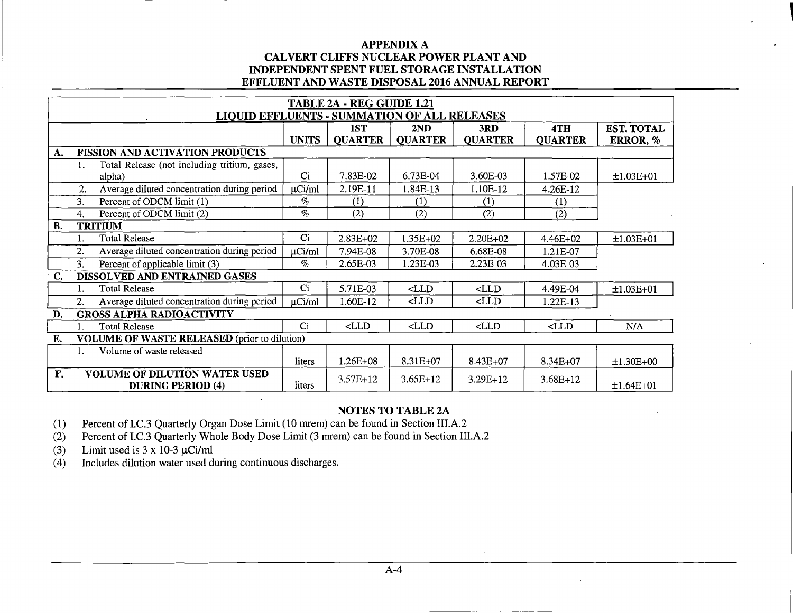|    |    |                                                     |                | <b>TABLE 2A - REG GUIDE 1.21</b> |                                                                                        |                                                            |                  |                   |
|----|----|-----------------------------------------------------|----------------|----------------------------------|----------------------------------------------------------------------------------------|------------------------------------------------------------|------------------|-------------------|
|    |    | <b>LIQUID EFFLUENTS - SUMMATION OF ALL RELEASES</b> |                |                                  |                                                                                        |                                                            |                  |                   |
|    |    |                                                     |                | 1ST                              | 2ND                                                                                    | 3RD                                                        | 4TH              | <b>EST. TOTAL</b> |
|    |    |                                                     | <b>UNITS</b>   | <b>QUARTER</b>                   | <b>OUARTER</b>                                                                         | <b>QUARTER</b>                                             | <b>QUARTER</b>   | ERROR, %          |
| A. |    | <b>FISSION AND ACTIVATION PRODUCTS</b>              |                |                                  |                                                                                        |                                                            |                  |                   |
|    | 1. | Total Release (not including tritium, gases,        |                |                                  |                                                                                        |                                                            |                  |                   |
|    |    | alpha)                                              | Ci             | 7.83E-02                         | 6.73E-04                                                                               | 3.60E-03                                                   | 1.57E-02         | $±1.03E+01$       |
|    | 2. | Average diluted concentration during period         | $\mu$ Ci/ml    | 2.19E-11                         | 1.84E-13                                                                               | 1.10E-12                                                   | 4.26E-12         |                   |
|    | 3. | Percent of ODCM limit (1)                           | $\%$           | (1)                              | (1)                                                                                    | (1)                                                        | $\left(1\right)$ |                   |
|    | 4. | Percent of ODCM limit (2)                           | $\%$           | (2)                              | (2)                                                                                    | (2)                                                        | (2)              |                   |
| B. |    | <b>TRITIUM</b>                                      |                |                                  |                                                                                        |                                                            |                  |                   |
|    |    | <b>Total Release</b>                                | C <sub>i</sub> | $2.83E+02$                       | 1.35E+02                                                                               | $2.20E + 02$                                               | 4.46E+02         | $±1.03E+01$       |
|    | 2. | Average diluted concentration during period         | $\mu$ Ci/ml    | 7.94E-08                         | 3.70E-08                                                                               | 6.68E-08                                                   | 1.21E-07         |                   |
|    | 3. | Percent of applicable limit (3)                     | $\%$           | 2.65E-03                         | .23E-03                                                                                | 2.23E-03                                                   | 4.03E-03         |                   |
| C. |    | DISSOLVED AND ENTRAINED GASES                       |                |                                  |                                                                                        |                                                            |                  |                   |
|    | 1. | <b>Total Release</b>                                | Ci             | 5.71E-03                         | $\triangle$ LD                                                                         | $\mathsf{CLLD}$                                            | 4.49E-04         | $±1.03E+01$       |
|    | 2. | Average diluted concentration during period         | $\mu$ Ci/ml    | 1.60E-12                         | <lld< th=""><th><lld< th=""><th><math>1.22E-13</math></th><th></th></lld<></th></lld<> | <lld< th=""><th><math>1.22E-13</math></th><th></th></lld<> | $1.22E-13$       |                   |
| D. |    | <b>GROSS ALPHA RADIOACTIVITY</b>                    |                |                                  |                                                                                        |                                                            |                  |                   |
|    |    | Total Release                                       | Ci             | CLLD                             | CLLD                                                                                   | CLLD                                                       | $<$ LLD          | N/A               |
| Е. |    | <b>VOLUME OF WASTE RELEASED</b> (prior to dilution) |                |                                  |                                                                                        |                                                            |                  |                   |
|    |    | Volume of waste released                            |                |                                  |                                                                                        |                                                            |                  |                   |
|    |    |                                                     | liters         | 1.26E+08                         | 8.31E+07                                                                               | $8.43E+07$                                                 | 8.34E+07         | $±1.30E+00$       |
| F. |    | <b>VOLUME OF DILUTION WATER USED</b>                |                | $3.57E+12$                       | $3.65E+12$                                                                             | $3.29E+12$                                                 | $3.68E+12$       |                   |
|    |    | <b>DURING PERIOD (4)</b>                            | liters         |                                  |                                                                                        |                                                            |                  | $±1.64E+01$       |

# NOTES TO TABLE 2A

(1) Percent of I.C.3 Quarterly Organ Dose Limit (10 mrem) can be found in Section III.A.2

(2) Percent of I.C.3 Quarterly Whole Body Dose Limit (3 mrem) can be found in Section III.A.2

(3) Limit used is  $3 \times 10^{-3} \mu$ Ci/ml

(4) Includes dilution water used during continuous discharges.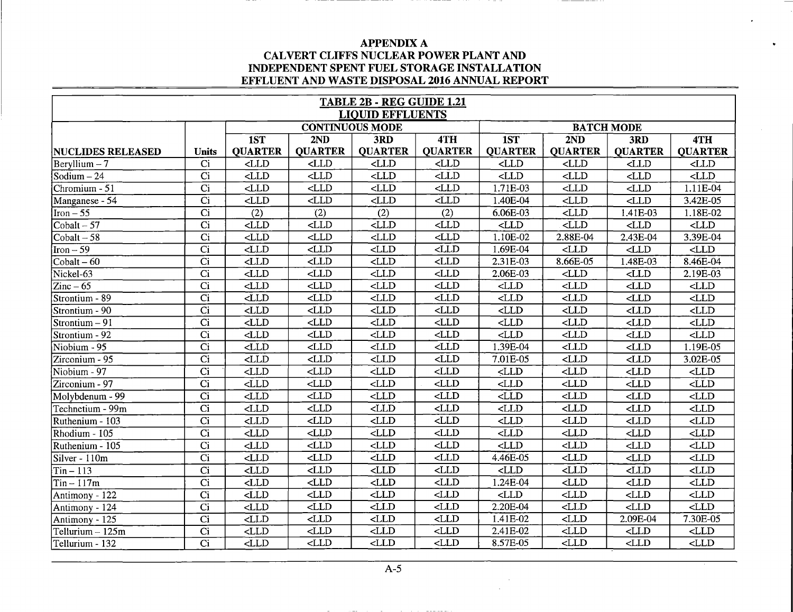|                                 |                  |                          |                                  | TABLE 2B - REG GUIDE 1.21<br><b>LIQUID EFFLUENTS</b> |                         |                          |                                  |                          |                                  |
|---------------------------------|------------------|--------------------------|----------------------------------|------------------------------------------------------|-------------------------|--------------------------|----------------------------------|--------------------------|----------------------------------|
|                                 |                  |                          |                                  | <b>CONTINUOUS MODE</b>                               |                         |                          |                                  | <b>BATCH MODE</b>        |                                  |
|                                 |                  | 1ST                      | 2ND                              | 3RD                                                  | 4TH                     | 1ST                      | 2ND                              | 3RD                      | 4TH                              |
| <b>NUCLIDES RELEASED</b>        | <b>Units</b>     | <b>QUARTER</b>           | <b>QUARTER</b>                   | <b>QUARTER</b>                                       | <b>QUARTER</b>          | <b>QUARTER</b>           | <b>QUARTER</b>                   | <b>QUARTER</b>           | <b>QUARTER</b>                   |
| $\text{Bervllium} - 7$          | Ci               | CLLD                     | $<$ LLD                          | $<$ LLD                                              | CLLD                    | $<$ LLD                  | $\triangle$ LD                   | CLLD                     | $<$ LLD                          |
| Sodium $-24$                    | $\overline{Ci}$  | $\overline{\text{CLD}}$  | $\overline{\text{CLLD}}$         | $<$ LLD                                              | $\overline{\text{CLD}}$ | LLD                      | $<$ LLD                          | CLLD                     | $\overline{\text{CLD}}$          |
| Chromium - 51                   | $\overline{Ci}$  | $\overline{\text{CLLD}}$ | $\verb $                         | $\overline{\text{CLLD}}$                             | $<$ LLD                 | 1.71E-03                 | $\overline{\text{CLD}}$          | LLD                      | $1.11E-04$                       |
| Manganese - 54                  | $\overline{Ci}$  | $<$ LLD                  | $\overline{\text{CLLD}}$         | CLLD                                                 | $<$ LLD                 | 1.40E-04                 | $<$ LLD                          | $<$ LLD                  | 3.42E-05                         |
| $\text{Iron} - 55$              | $\overline{Ci}$  | $\overline{(2)}$         | $\overline{(2)}$                 | (2)                                                  | $\overline{(2)}$        | $6.06E-03$               | $\overline{\text{CLD}}$          | 1.41E-03                 | 1.18E-02                         |
| $\overline{\text{Cobalt} - 57}$ | $\overline{Ci}$  | $<$ LLD                  | $\n  <$ LLD                      | $<$ LLD                                              | $<$ LLD                 | $\n  <$ LLD              | $\overline{\text{CLLD}}$         | $<$ LLD                  | $\overline{\text{CLLD}}$         |
| $\overline{\text{Cobalt} - 58}$ | $\overline{C}$   | $\texttt{CLLD}$          | $<$ LLD                          | $<$ LLD                                              | $<$ LLD                 | 1.10E-02                 | 2.88E-04                         | 2.43E-04                 | 3.39E-04                         |
| $\sqrt{\text{Iron} - 59}$       | $\overline{C}$ i | $\overline{d}$ LD        | CLLD                             | $<$ LLD                                              | $\overline{\text{CLD}}$ | 1.69E-04                 | $\texttt{CLLD}$                  | LLD                      | CLLD                             |
| $\overline{\text{Cobalt} - 60}$ | $\overline{C}$ i | $<$ LLD                  | $\textensuremath{\mathsf{CLLD}}$ | $<$ LLD                                              | $<$ LLD                 | 2.31E-03                 | 8.66E-05                         | 1.48E-03                 | $8.46E - 04$                     |
| Nickel-63                       | $\overline{Ci}$  | $\n  <$ LLD              | CLLD                             | $\overline{LLD}$                                     | $<$ LLD                 | 2.06E-03                 | $\overline{\text{CLD}}$          | $\overline{\text{CLD}}$  | $2.19E-03$                       |
| $\overline{\text{Zinc}}$ – 65   | $\overline{Ci}$  | $\overline{\text{CLD}}$  | $<$ LLD                          | $<$ LLD                                              | $<$ LLD                 | CLLD                     | $\n  <$ LLD                      | $<$ LLD                  | $\text{CLLD}$                    |
| Strontium - 89                  | $\overline{Ci}$  | $\overline{\text{CLLD}}$ | $\textensuremath{\mathsf{CLLD}}$ | $<$ LLD                                              | $<$ LLD                 | $<$ LLD                  | $\textensuremath{\mathsf{CLLD}}$ | $<$ LLD                  | CLLD                             |
| Strontium - 90                  | $\overline{Ci}$  | $<$ LLD                  | $\overline{\text{CLLD}}$         | $<$ LLD                                              | $<$ LLD                 | $<$ LLD                  | $<$ LLD                          | $<$ LLD                  | $\overline{\text{CLD}}$          |
| Strontium – 91                  | $\overline{C}$   | $<$ LLD                  | $<$ LLD                          | $<$ LLD                                              | $<$ LLD                 | $<$ LLD                  | $<$ LLD                          | $\text{CLLD}$            | $\textensuremath{\mathsf{CLLD}}$ |
| Strontium - 92                  | $\overline{Ci}$  | $\overline{\text{CLD}}$  | $\n  <$ LLD                      | $<$ LLD                                              | CLLD                    | $\n  <$ LLD              | $\n  LLD\n$                      | $\overline{\text{CLLD}}$ | $\overline{L}$                   |
| Niobium - 95                    | $\overline{C}$   | $\overline{\text{CLD}}$  | $\overline{\text{CLLD}}$         | $<$ LLD                                              | $\overline{\text{CLD}}$ | 1.39E-04                 | $\overline{\text{CLD}}$          | CLLD                     | $1.19E-05$                       |
| Zirconium - 95                  | $\overline{C}$   | $\overline{\text{CLD}}$  | $<$ LLD                          | CLLD                                                 | $\overline{\text{CL}}$  | 7.01E-05                 | $\verb $                         | CLLD                     | 3.02E-05                         |
| Niobium - 97                    | $\overline{Ci}$  | $\overline{\text{CLLD}}$ | $<$ LLD                          | $\epsilon$ LLD                                       | CLLD                    | $\overline{\text{CLLD}}$ | $\n  <$ LLD                      | $<$ LLD                  | $\overline{\text{CLD}}$          |
| Zirconium - 97                  | Ci               | $\overline{\text{CLLD}}$ | $\overline{\text{CLLD}}$         | CLLD                                                 | $<$ LLD                 | $<$ LLD                  | $\overline{\text{CLD}}$          | $\overline{\text{CLD}}$  | $\overline{CLD}$                 |
| Molybdenum - 99                 | $\overline{Ci}$  | $\text{CLLD}$            | $<$ LLD                          | $<$ LLD                                              | $\overline{\text{CLD}}$ | $\overline{\text{CLD}}$  | $\texttt{CLLD}$                  | $<$ LLD                  | $<$ LLD                          |
| Technetium - 99m                | $\overline{C}$   | CLLD                     | $<$ LLD                          | $\overline{\text{CLD}}$                              | $\overline{\text{CLD}}$ | $\overline{\text{CLD}}$  | CLLD                             | $<$ LLD                  | $\n  <$ LLD                      |
| Ruthenium - 103                 | $\overline{C}$   | $\overline{\text{CLD}}$  | LLD                              | CLLD                                                 | $\overline{\text{CLD}}$ | $<$ LLD                  | $\overline{\text{CLLD}}$         | $\text{CLLD}$            | $<$ LLD                          |
| Rhodium - 105                   | $\overline{C}$   | $\overline{LID}$         | $\n  <$ LLD                      | $\overline{\text{CLLD}}$                             | $\overline{\text{CLD}}$ | $\overline{CLD}$         | $\n  <$ LLD                      | $\overline{\text{CLD}}$  | $\overline{\text{CLD}}$          |
| Ruthenium - 105                 | $\overline{C}$ i | $\overline{\text{CLD}}$  | $\overline{\text{CLLD}}$         | $<$ LLD                                              | $\n  <$ LLD             | $\n  <$ LLD              | $\n  <$ LLD                      | $<$ LLD                  | $\overline{LLD}$                 |
| Silver - 110m                   | $\overline{C}$ i | $\n  <$ LLD              | $\n  <$ LLD                      | CLLD                                                 | $<$ LLD                 | 4.46E-05                 | $<$ LLD                          | $<$ LLD                  | $\overline{\text{CLD}}$          |
| $Tri - 113$                     | $\overline{Ci}$  | $\overline{\text{CL}}$   | $\overline{LLD}$                 | $<$ LLD                                              | $\overline{\text{CLD}}$ | $\overline{\text{CLD}}$  | $\overline{\text{CLD}}$          | $\overline{\text{CLLD}}$ | $<$ LLD                          |
| $\sqrt{\text{Ti}n - 117}$ m     | $\overline{C}$ i | $<$ LLD                  | LLD                              | $<$ LLD                                              | $\n  <$ LLD             | 1.24E-04                 | $\texttt{CLLD}$                  | $<$ LLD                  | $<$ LLD                          |
| Antimony - 122                  | $\overline{C}$ i | $<$ LLD                  | $\overline{\text{CLLD}}$         | CLLD                                                 | $\overline{\text{CLD}}$ | $\text{CLLD}$            | $\overline{LID}$                 | $<$ LLD                  | $\text{CLLD}$                    |
| Antimony - 124                  | $\overline{Ci}$  | $\overline{\text{CLD}}$  | $\overline{LLD}$                 | $\overline{\text{CLD}}$                              | $\overline{\text{CLD}}$ | 2.20E-04                 | $\n  <$ LLD                      | CLLD                     | $\overline{\text{CLLD}}$         |
| Antimony - $125$                | $\overline{Ci}$  | $\overline{\text{CLD}}$  | $\overline{\text{CLLD}}$         | $<$ LLD                                              | $\n  <$ LLD             | 1.41E-02                 | $<$ LLD                          | 2.09E-04                 | 7.30E-05                         |
| Tellurium - 125m                | $\overline{Ci}$  | $\overline{\text{CLD}}$  | $\overline{\text{CLD}}$          | $\overline{\text{CLD}}$                              | $-LID$                  | 2.41E-02                 | $\overline{\text{CLLD}}$         | $\text{CLLD}$            | CLLD                             |
| Tellurium - 132                 | $\overline{C}$ i | $\overline{\text{CLLD}}$ | $<$ LLD                          | $\overline{\text{CLD}}$                              | $\n  <$ LLD             | 8.57E-05                 | $\overline{\text{CLLD}}$         | CLLD                     | $\overline{\text{CLLD}}$         |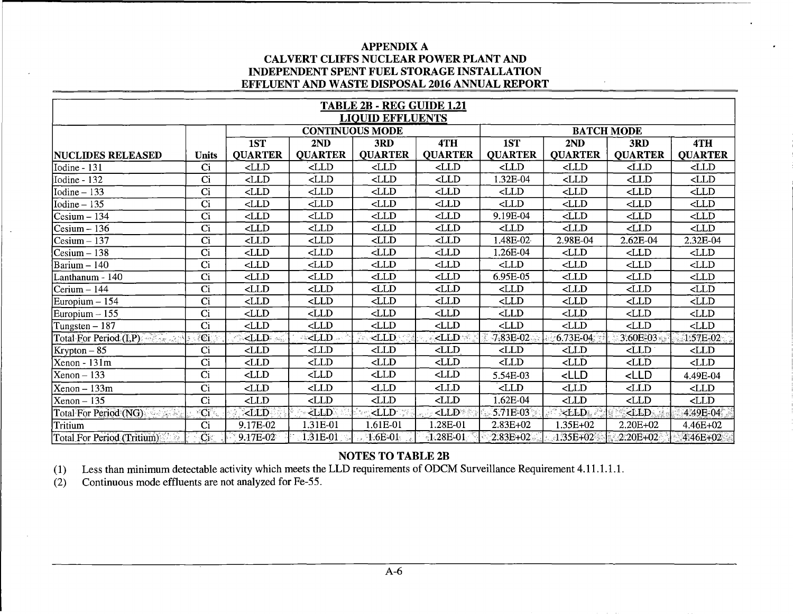|                                           | TABLE 2B - REG GUIDE 1.21<br><b>LIQUID EFFLUENTS</b> |                                                                                                                                                                                            |                                                                                                                                                                                            |                                                                                                                                                   |                                                                                                                               |                                                                                                   |                                                                   |                   |                         |  |  |
|-------------------------------------------|------------------------------------------------------|--------------------------------------------------------------------------------------------------------------------------------------------------------------------------------------------|--------------------------------------------------------------------------------------------------------------------------------------------------------------------------------------------|---------------------------------------------------------------------------------------------------------------------------------------------------|-------------------------------------------------------------------------------------------------------------------------------|---------------------------------------------------------------------------------------------------|-------------------------------------------------------------------|-------------------|-------------------------|--|--|
|                                           |                                                      |                                                                                                                                                                                            |                                                                                                                                                                                            | <b>CONTINUOUS MODE</b>                                                                                                                            |                                                                                                                               |                                                                                                   |                                                                   | <b>BATCH MODE</b> |                         |  |  |
|                                           |                                                      | 1ST                                                                                                                                                                                        | 2ND                                                                                                                                                                                        | 3RD                                                                                                                                               | 4TH                                                                                                                           | 1ST                                                                                               | 2ND                                                               | 3RD               | 4TH                     |  |  |
| <b>NUCLIDES RELEASED</b>                  | <b>Units</b>                                         | <b>QUARTER</b>                                                                                                                                                                             | <b>QUARTER</b>                                                                                                                                                                             | <b>QUARTER</b>                                                                                                                                    | <b>QUARTER</b>                                                                                                                | <b>QUARTER</b>                                                                                    | <b>QUARTER</b>                                                    | <b>QUARTER</b>    | <b>QUARTER</b>          |  |  |
| Iodine - 131                              | Ci                                                   | $\text{CLLD}$                                                                                                                                                                              | CLLD                                                                                                                                                                                       | CLLD                                                                                                                                              | CLLD                                                                                                                          | $\triangle$ LD                                                                                    | $\mathsf{CLLD}$                                                   | $<$ LLD           | $\triangle$ LD          |  |  |
| Iodine - 132                              | $\overline{C}$ i                                     | $\text{CLLD}$                                                                                                                                                                              | $<$ LLD                                                                                                                                                                                    | CLLD                                                                                                                                              | CLLD                                                                                                                          | 1.32E-04                                                                                          | CLLD                                                              | $\texttt{CLLD}$   | $\n  <$ LLD             |  |  |
| $\text{Iodine} - 133$                     | Ci                                                   | $<$ LLD                                                                                                                                                                                    | $\triangle$ LD                                                                                                                                                                             | $\mathsf{CLLD}$                                                                                                                                   | $\triangle$ LD                                                                                                                | $<$ LLD                                                                                           | $<$ LLD                                                           | $\text{CLLD}$     | $\triangle$ LD          |  |  |
| $\text{Iodine} - 135$                     | C <sub>i</sub>                                       | $<$ LLD                                                                                                                                                                                    | CLLD                                                                                                                                                                                       | $\mathsf{CLLD}$                                                                                                                                   | $\Delta$ LD                                                                                                                   | $\triangle$ LD                                                                                    | CLLD                                                              | CLLD              | CLLD                    |  |  |
| Cesium – 134                              | Ci                                                   | $\text{CLLD}$                                                                                                                                                                              | CLLD                                                                                                                                                                                       | $\triangle$ LD                                                                                                                                    | CLLD                                                                                                                          | 9.19E-04                                                                                          | CLLD                                                              | $\text{CLLD}$     | $\overline{\text{CLD}}$ |  |  |
| $\textsf{Cesium}-\textsf{136}$            | Ci                                                   | CLLD                                                                                                                                                                                       | $<$ LLD                                                                                                                                                                                    | CLLD                                                                                                                                              | $\triangle$ LD                                                                                                                | $<$ LLD                                                                                           | $<$ LLD                                                           | CLLD              | CLLD                    |  |  |
| $\text{Cesium} - 137$                     | Ci                                                   | CLLD                                                                                                                                                                                       | $<$ LLD                                                                                                                                                                                    | CLLD                                                                                                                                              | CLLD                                                                                                                          | 1.48E-02                                                                                          | 2.98E-04                                                          | 2.62E-04          | 2.32E-04                |  |  |
| $\text{Cesium} - 138$                     | $\overline{C}$ i                                     | $\text{CLLD}$                                                                                                                                                                              | CLLD                                                                                                                                                                                       | $\mathsf{CLLD}$                                                                                                                                   | $\triangle$ LD                                                                                                                | 1.26E-04                                                                                          | CLLD                                                              | $\mbox{\sf CLLD}$ | $\text{CLLD}$           |  |  |
| Barium - 140                              | Ci                                                   | CLLD                                                                                                                                                                                       | $<$ LLD                                                                                                                                                                                    | $\triangle$ LD                                                                                                                                    | $\triangle$ LD                                                                                                                | CLLD                                                                                              | CLLD                                                              | CLLD              | $\triangle$ LD          |  |  |
| Lanthanum - 140                           | $\overline{C}$ i                                     | $\overline{\text{CLD}}$                                                                                                                                                                    | $\triangle$ LD                                                                                                                                                                             | $\langle$ LLD                                                                                                                                     | CLLD                                                                                                                          | 6.95E-05                                                                                          | $<$ LLD                                                           | $<$ LLD           | CLLD                    |  |  |
| $ Cerium - 144$                           | Ci                                                   | CLLD                                                                                                                                                                                       | $\triangle$ LD                                                                                                                                                                             | $\triangle$ LD                                                                                                                                    | CLLD                                                                                                                          | $<$ LLD                                                                                           | $\text{CLLD}$                                                     | $<$ LLD           | CLLD                    |  |  |
| Europium - 154                            | Ci                                                   | CLLD                                                                                                                                                                                       | $<$ LLD                                                                                                                                                                                    | $\triangle$ LD                                                                                                                                    | <lld< td=""><td>CLLD</td><td><math>&lt;</math>LLD</td><td><math display="inline">\langle</math>LLD</td><td>CLLD</td></lld<>   | CLLD                                                                                              | $<$ LLD                                                           | $\langle$ LLD     | CLLD                    |  |  |
| $\text{European} - 155$                   | $\overline{C}$                                       | $<$ LLD                                                                                                                                                                                    | $\langle$ LLD                                                                                                                                                                              | $\text{CLLD}$                                                                                                                                     | CLLD                                                                                                                          | $<$ LLD                                                                                           | $<$ LLD                                                           | CLLD              | CLLD                    |  |  |
| Tungsten – 187                            | Ci                                                   | CLLD                                                                                                                                                                                       | <lld< td=""><td><math>\triangle</math>LD</td><td><lld< td=""><td><lld< td=""><td><math>\triangle</math>LD</td><td><math>\langle</math>LLD</td><td>CLLD</td></lld<></td></lld<></td></lld<> | $\triangle$ LD                                                                                                                                    | <lld< td=""><td><lld< td=""><td><math>\triangle</math>LD</td><td><math>\langle</math>LLD</td><td>CLLD</td></lld<></td></lld<> | <lld< td=""><td><math>\triangle</math>LD</td><td><math>\langle</math>LLD</td><td>CLLD</td></lld<> | $\triangle$ LD                                                    | $\langle$ LLD     | CLLD                    |  |  |
| ngen<br>Version<br>Total For Period (I,P) | C <sub>i</sub>                                       | <lld-< td=""><td><math>-LLD</math></td><td><math>&lt;</math>LLD</td><td><math>&lt;</math>LLD</td><td>7.83E-02</td><td><math>0.73E-04</math></td><td>3.60E-03</td><td>1.57E-02</td></lld-<> | $-LLD$                                                                                                                                                                                     | $<$ LLD                                                                                                                                           | $<$ LLD                                                                                                                       | 7.83E-02                                                                                          | $0.73E-04$                                                        | 3.60E-03          | 1.57E-02                |  |  |
| $Krypton-85$                              | Ci                                                   | $<$ LLD                                                                                                                                                                                    | $\triangle$ LD                                                                                                                                                                             | $<$ LLD                                                                                                                                           | CLLD                                                                                                                          | $<$ LLD                                                                                           | $\text{CLLD}$                                                     | CLLD              | CLLD                    |  |  |
| Xenon - 131m                              | Ci                                                   | CLLD                                                                                                                                                                                       | $<$ LLD                                                                                                                                                                                    | $\triangle$ LD                                                                                                                                    | CLLD                                                                                                                          | CLLD                                                                                              | CLLD                                                              | $\langle$ LLD     | CLLD                    |  |  |
| $Xenon - 133$                             | $\overline{C}$                                       | $<$ LLD                                                                                                                                                                                    | CLLD                                                                                                                                                                                       | $\mbox{{\small \texttt{CLLD}}}$                                                                                                                   | CLLD                                                                                                                          | 5.54E-03                                                                                          | <lld< td=""><td><math>&lt;</math>LLD</td><td>4.49E-04</td></lld<> | $<$ LLD           | 4.49E-04                |  |  |
| $Xenon - 133m$                            | Ci                                                   | CLLD                                                                                                                                                                                       | $\langle$ LLD                                                                                                                                                                              | CLLD                                                                                                                                              | CLLD                                                                                                                          | CLLD                                                                                              | $<$ LLD                                                           | $\triangle$ LD    | CLLD                    |  |  |
| $Xenon - 135$                             | Ci                                                   | $\langle$ LLD                                                                                                                                                                              | CLLD                                                                                                                                                                                       | $<$ LLD                                                                                                                                           | CLLD                                                                                                                          | 1.62E-04                                                                                          | CLLD                                                              | CLLD              | CLLD                    |  |  |
| Total For Period (NG)                     | $\overline{\text{Ci}}$                               | $\triangle$ LD                                                                                                                                                                             | <lld< td=""><td><lld< td=""><td><math>\Delta</math>LD</td><td>5.71E-03</td><td><math>&lt;</math>LLD.</td><td><math>\langle</math>LLD</td><td>4.49E-04</td></lld<></td></lld<>              | <lld< td=""><td><math>\Delta</math>LD</td><td>5.71E-03</td><td><math>&lt;</math>LLD.</td><td><math>\langle</math>LLD</td><td>4.49E-04</td></lld<> | $\Delta$ LD                                                                                                                   | 5.71E-03                                                                                          | $<$ LLD.                                                          | $\langle$ LLD     | 4.49E-04                |  |  |
| Tritium                                   | Ci                                                   | 9.17E-02                                                                                                                                                                                   | 1.31E-01                                                                                                                                                                                   | $1.61E-01$                                                                                                                                        | .28E-01                                                                                                                       | $2.83E+02$                                                                                        | 1.35E+02                                                          | 2.20E+02          | 4.46E+02                |  |  |
| Total For Period (Tritium)                | $\overline{\text{C}}$                                | $9.17E-02$                                                                                                                                                                                 | 1.31E-01                                                                                                                                                                                   | $1.6E - 01$                                                                                                                                       | $-1.28E-01$                                                                                                                   | $2.83E + 02$                                                                                      | $-1.35E + 02$                                                     | $-2.20E + 02$     | 4.46E+02                |  |  |

# NOTES TO TABLE 2B

(1) Less than minimum detectable activity which meets the LLD requirements of ODCM Surveillance Requirement 4.11.1.1.1.

(2) Continuous mode effluents are not analyzed for Fe-55.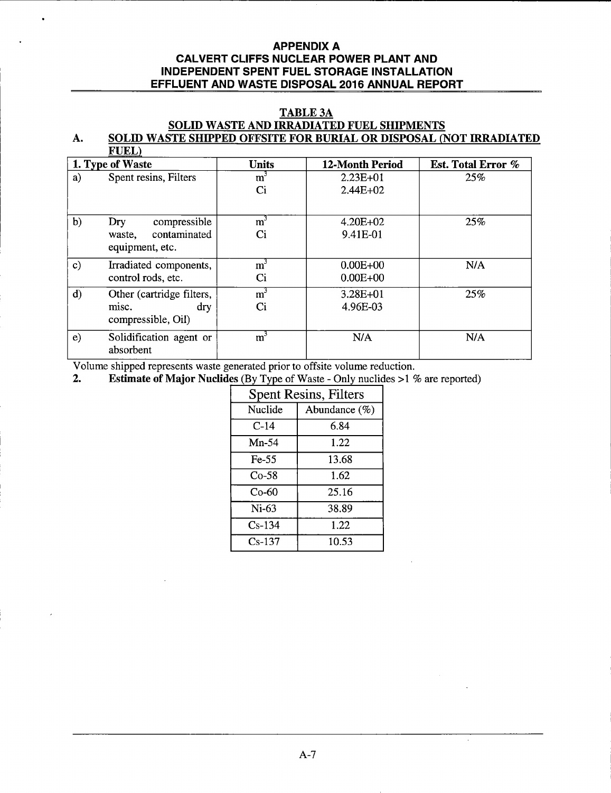### TABLE 3A

#### SOLID WASTE AND IRRADIATED FUEL SHIPMENTS A. SOLID WASTE SHIPPED OFFSITE FOR BURIAL OR DISPOSAL (NOT IRRADIATED  $\overline{\text{FUT}}$

|               | т отлл                                    |                  |                        |                           |
|---------------|-------------------------------------------|------------------|------------------------|---------------------------|
|               | 1. Type of Waste                          | <b>Units</b>     | <b>12-Month Period</b> | <b>Est. Total Error %</b> |
| a)            | Spent resins, Filters                     | m <sup>3</sup>   | $2.23E+01$             | 25%                       |
|               |                                           | C <sub>i</sub>   | $2.44E+02$             |                           |
| b)            | compressible<br>Dry                       | m <sup>3</sup>   | $4.20E + 02$           | 25%                       |
|               | contaminated<br>waste,<br>equipment, etc. | Ci               | 9.41E-01               |                           |
| $\mathbf{c})$ | Irradiated components,                    | $\overline{m}^3$ | $0.00E + 00$           | N/A                       |
|               | control rods, etc.                        | Ci               | $0.00E + 00$           |                           |
| d)            | Other (cartridge filters,                 | m <sup>3</sup>   | $3.28E + 01$           | 25%                       |
|               | misc.<br>dry<br>compressible, Oil)        | Ci               | 4.96E-03               |                           |
| e)            | Solidification agent or<br>absorbent      | $\overline{m}^3$ | N/A                    | N/A                       |

Volume shipped represents waste generated prior to offsite volume reduction.<br>2. Estimate of Maior Nuclides (By Type of Waste - Only nuclides >19

**Estimate of Major Nuclides** (By Type of Waste - Only nuclides  $>1$  % are reported)

| <b>Spent Resins, Filters</b> |               |  |
|------------------------------|---------------|--|
| Nuclide                      | Abundance (%) |  |
| $C-14$                       | 6.84          |  |
| $Mn-54$                      | 122           |  |
| $Fe-55$                      | 13.68         |  |
| $Co-58$                      | 1.62          |  |
| $Co-60$                      | 25.16         |  |
| $Ni-63$                      | 38.89         |  |
| $Cs-134$                     | 1.22.         |  |
| $Cs-137$                     | 10.53         |  |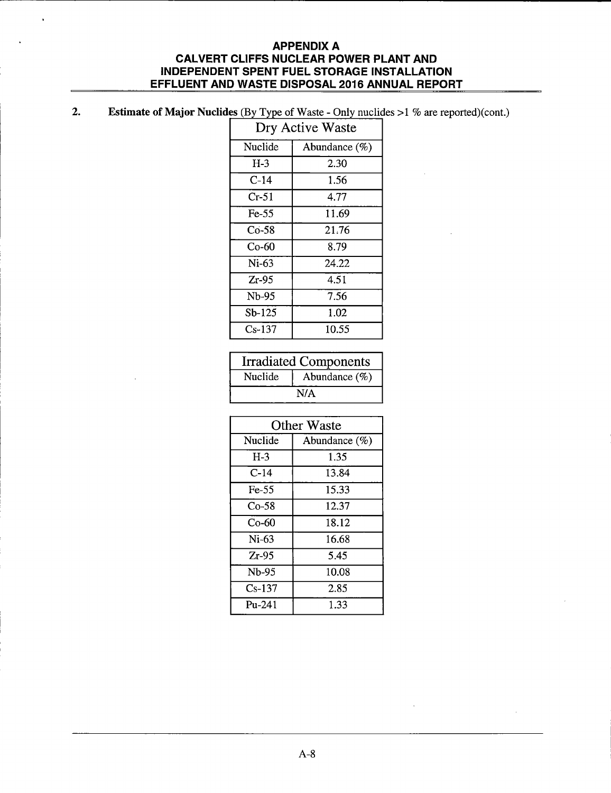#### 2. Estimate of Major Nuclides (By Type of Waste - Only nuclides  $>1$  % are reported)(cont.)

| Dry Active Waste |                  |  |
|------------------|------------------|--|
| Nuclide          | Abundance $(\%)$ |  |
| $H-3$            | 2.30             |  |
| C-14             | 1.56             |  |
| Cr-51            | 4.77             |  |
| $Fe-55$          | 11.69            |  |
| $Co-58$          | 21.76            |  |
| Co-60            | 8.79             |  |
| $Ni-63$          | 24.22            |  |
| $Zr-95$          | 4.51             |  |
| Nb-95            | 7.56             |  |
| $Sb-125$         | 1.02             |  |
| $Cs-137$         | 10.55            |  |

| <b>Irradiated Components</b> |                  |  |
|------------------------------|------------------|--|
| Nuclide                      | Abundance $(\%)$ |  |
| N/A                          |                  |  |

| <b>Other Waste</b> |                  |  |
|--------------------|------------------|--|
| <b>Nuclide</b>     | Abundance $(\%)$ |  |
| $H-3$              | 1.35             |  |
| $C-14$             | 13.84            |  |
| $Fe-55$            | 15.33            |  |
| $Co-58$            | 12.37            |  |
| $Co-60$            | 18.12            |  |
| $Ni-63$            | 16.68            |  |
| $Zr-95$            | 5.45             |  |
| Nb-95              | 10.08            |  |
| $Cs-137$           | 2.85             |  |
| $Pu-241$           | 1.33             |  |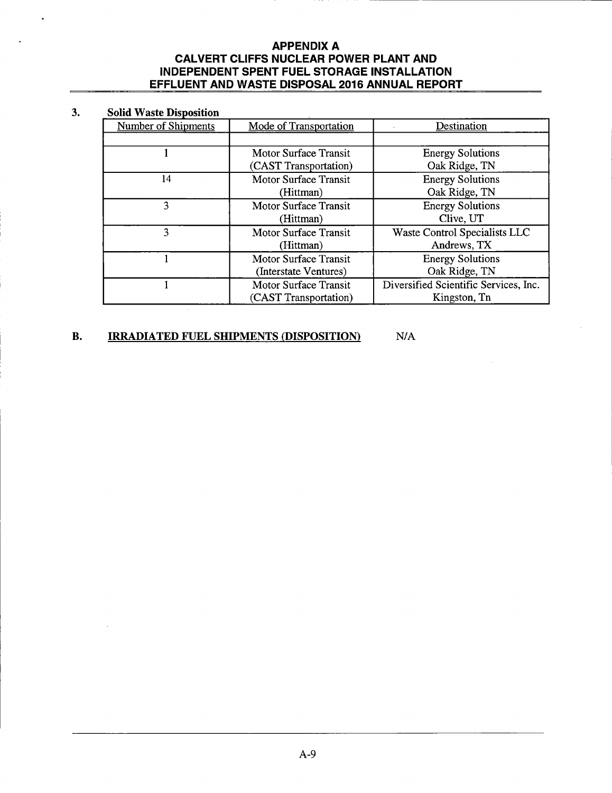#### 3. **Solid Waste Disposition**

| Number of Shipments | Mode of Transportation       | Destination                           |
|---------------------|------------------------------|---------------------------------------|
|                     |                              |                                       |
|                     | <b>Motor Surface Transit</b> | <b>Energy Solutions</b>               |
|                     | (CAST Transportation)        | Oak Ridge, TN                         |
| 14                  | <b>Motor Surface Transit</b> | <b>Energy Solutions</b>               |
|                     | (Hittman)                    | Oak Ridge, TN                         |
| ٩                   | <b>Motor Surface Transit</b> | <b>Energy Solutions</b>               |
|                     | (Hittman)                    | Clive, UT                             |
|                     | <b>Motor Surface Transit</b> | Waste Control Specialists LLC         |
|                     | (Hittman)                    | Andrews, TX                           |
|                     | <b>Motor Surface Transit</b> | <b>Energy Solutions</b>               |
|                     | (Interstate Ventures)        | Oak Ridge, TN                         |
|                     | <b>Motor Surface Transit</b> | Diversified Scientific Services, Inc. |
|                     | (CAST Transportation)        | Kingston, Tn                          |

#### **B. IRRADIATED FUEL SHIPMENTS (DISPOSITION)** N/A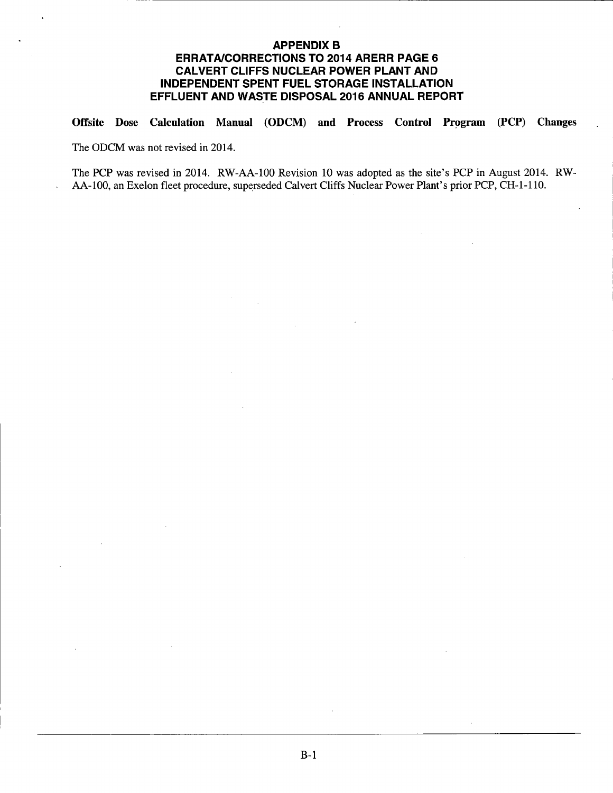# **APPENDIX B ERRATA/CORRECTIONS TO 2014 ARERR PAGE 6 CALVERT CLIFFS NUCLEAR POWER PLANT AND INDEPENDENT SPENT FUEL STORAGE INSTALLATION EFFLUENT AND WASTE DISPOSAL 2016 ANNUAL REPORT**

Offsite Dose Calculation Manual (ODCM) and Process Control Program (PCP) Changes

The ODCM was not revised in 2014.

The PCP was revised in 2014. RW-AA-100 Revision 10 was adopted as the site's PCP in August 2014. RW-AA-100, an Exelon fleet procedure, superseded Calvert Cliffs Nuclear Power Plant's prior PCP, CH-1-110.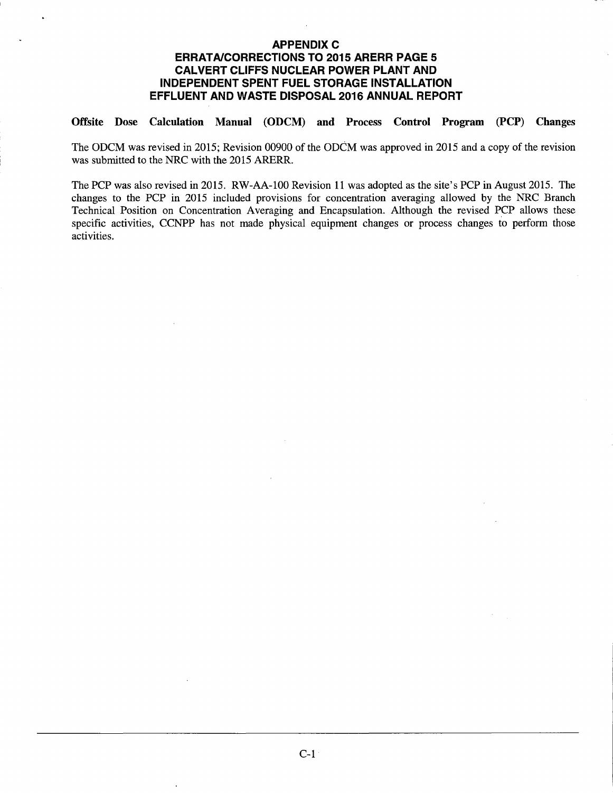# **APPENDIX C** ERRATA/CORRECTIONS TO 2015 ARERR PAGE 5 CALVERT CLIFFS NUCLEAR POWER PLANT AND INDEPENDENT SPENT FUEL STORAGE INSTALLATION EFFLUENT AND WASTE DISPOSAL 2016 ANNUAL REPORT

# Offsite Dose Calculation Manual (ODCM) and Process Control Program (PCP) Changes

The ODCM was revised in 2015; Revision 00900 of the ODCM was approved in 2015 and a copy of the revision was submitted to the NRC with the 2015 ARERR.

The PCP was also revised in 2015. RW-AA-100 Revision 11 was adopted as the site's PCP in August 2015. The changes to the PCP in 2015 included provisions for concentration averaging allowed by the NRC Branch Technical Position on Concentration Averaging and Encapsulation. Although the revised PCP allows these specific activities, CCNPP has not made physical equipment changes or process changes to perform those activities.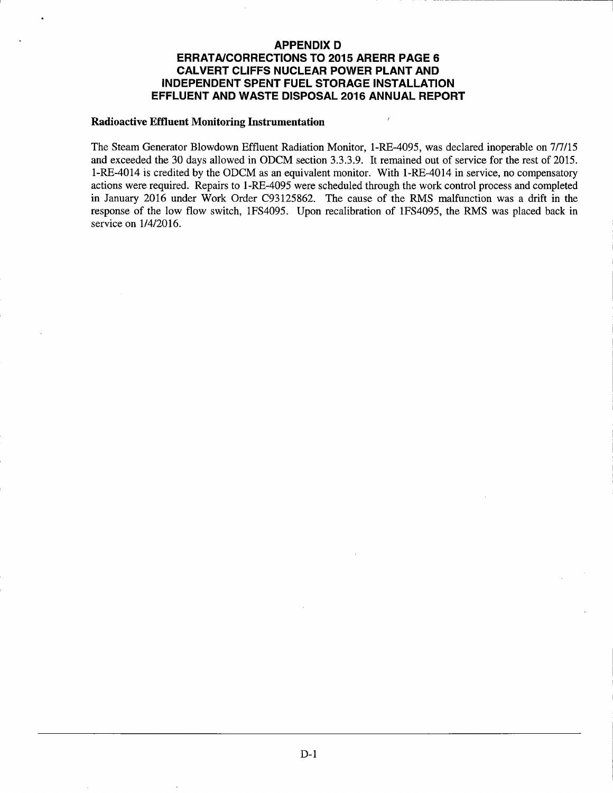# **APPENDIX D ERRATA/CORRECTIONS TO 2015 ARERR PAGE 6 CALVERT CLIFFS NUCLEAR POWER PLANT AND INDEPENDENT SPENT FUEL STORAGE INSTALLATION EFFLUENT AND WASTE DISPOSAL 2016 ANNUAL REPORT**

#### **Radioactive Effluent Monitoring Instrumentation**

The Steam Generator Blowdown Effluent Radiation Monitor, l-RE-4095, was declared inoperable on 717115 and exceeded the 30 days allowed in ODCM section 3.3.3.9. It remained out of service for the rest of 2015. l-RE-4014 is credited by the ODCM as an equivalent monitor. With 1-RE-4014 in service, no compensatory actions were required. Repairs to l-RE-4095 were scheduled through the work control process and completed in January 2016 under Work Order C93125862. The cause of the RMS malfunction was a drift in the response of the low flow switch, 1FS4095. Upon recalibration of 1FS4095, the RMS was placed back in service on 114/2016.

ź